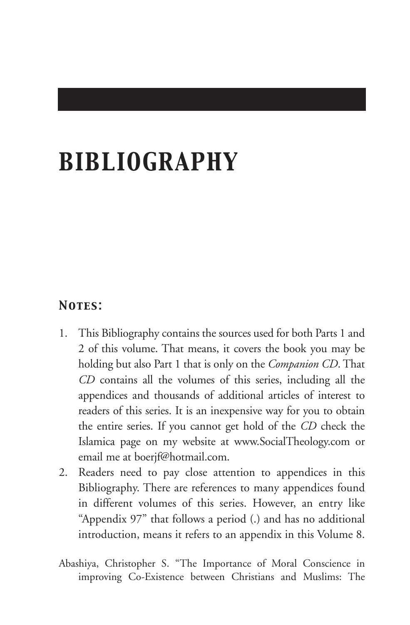# *BIBLIOGRAPHY*

## *Notes:*

- 1. This Bibliography contains the sources used for both Parts 1 and 2 of this volume. That means, it covers the book you may be holding but also Part 1 that is only on the *Companion CD*. That *CD* contains all the volumes of this series, including all the appendices and thousands of additional articles of interest to readers of this series. It is an inexpensive way for you to obtain the entire series. If you cannot get hold of the *CD* check the Islamica page on my website at www.SocialTheology.com or email me at boerjf@hotmail.com.
- 2. Readers need to pay close attention to appendices in this Bibliography. There are references to many appendices found in different volumes of this series. However, an entry like "Appendix 97" that follows a period (.) and has no additional introduction, means it refers to an appendix in this Volume 8.
- Abashiya, Christopher S. "The Importance of Moral Conscience in improving Co-Existence between Christians and Muslims: The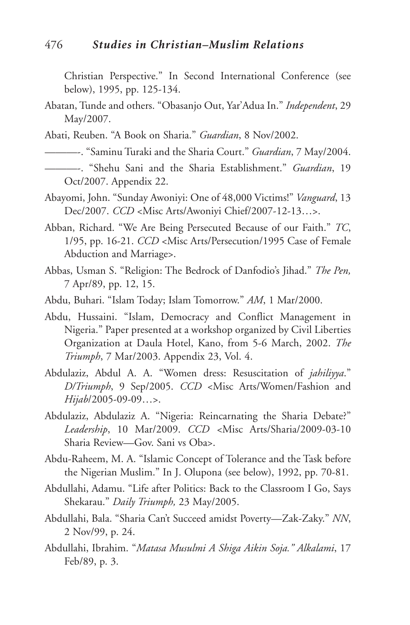Christian Perspective." In Second International Conference (see below), 1995, pp. 125-134.

- Abatan, Tunde and others. "Obasanjo Out, Yar'Adua In." *Independent*, 29 May/2007.
- Abati, Reuben. "A Book on Sharia." *Guardian*, 8 Nov/2002.
- ———-. "Saminu Turaki and the Sharia Court." *Guardian*, 7 May/2004.
- ———-. "Shehu Sani and the Sharia Establishment." *Guardian*, 19 Oct/2007. Appendix 22.
- Abayomi, John. "Sunday Awoniyi: One of 48,000 Victims!" *Vanguard*, 13 Dec/2007. *CCD* <Misc Arts/Awoniyi Chief/2007-12-13…>.
- Abban, Richard. "We Are Being Persecuted Because of our Faith." *TC*, 1/95, pp. 16-21. *CCD* <Misc Arts/Persecution/1995 Case of Female Abduction and Marriage>.
- Abbas, Usman S. "Religion: The Bedrock of Danfodio's Jihad." *The Pen,* 7 Apr/89, pp. 12, 15.
- Abdu, Buhari. "Islam Today; Islam Tomorrow." *AM*, 1 Mar/2000.
- Abdu, Hussaini. "Islam, Democracy and Conflict Management in Nigeria." Paper presented at a workshop organized by Civil Liberties Organization at Daula Hotel, Kano, from 5-6 March, 2002. *The Triumph*, 7 Mar/2003. Appendix 23, Vol. 4.
- Abdulaziz, Abdul A. A. "Women dress: Resuscitation of *jahiliyya*." *D/Triumph*, 9 Sep/2005. *CCD* <Misc Arts/Women/Fashion and *Hijab*/2005-09-09…>.
- Abdulaziz, Abdulaziz A. "Nigeria: Reincarnating the Sharia Debate?" *Leadership*, 10 Mar/2009. *CCD <*Misc Arts/Sharia/2009-03-10 Sharia Review—Gov. Sani vs Oba>.
- Abdu-Raheem, M. A. "Islamic Concept of Tolerance and the Task before the Nigerian Muslim." In J. Olupona (see below), 1992, pp. 70-81.
- Abdullahi, Adamu. "Life after Politics: Back to the Classroom I Go, Says Shekarau." *Daily Triumph,* 23 May/2005.
- Abdullahi, Bala. "Sharia Can't Succeed amidst Poverty—Zak-Zaky." *NN*, 2 Nov/99, p. 24.
- Abdullahi, Ibrahim. "*Matasa Musulmi A Shiga Aikin Soja." Alkalami*, 17 Feb/89, p. 3.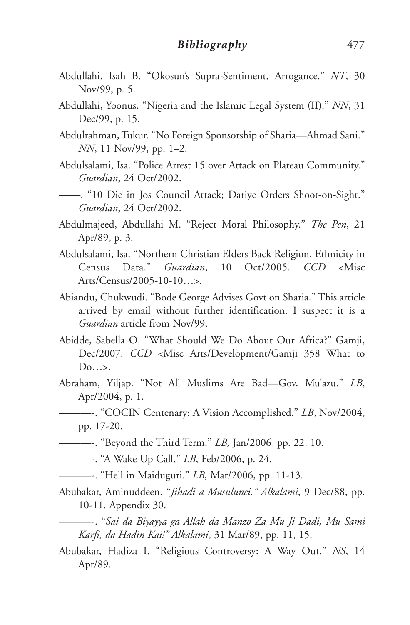- Abdullahi, Isah B. "Okosun's Supra-Sentiment, Arrogance." *NT*, 30 Nov/99, p. 5.
- Abdullahi, Yoonus. "Nigeria and the Islamic Legal System (II)." *NN*, 31 Dec/99, p. 15.
- Abdulrahman, Tukur. "No Foreign Sponsorship of Sharia—Ahmad Sani." *NN*, 11 Nov/99, pp. 1–2.
- Abdulsalami, Isa. "Police Arrest 15 over Attack on Plateau Community." *Guardian*, 24 Oct/2002.
- ——. "10 Die in Jos Council Attack; Dariye Orders Shoot-on-Sight." *Guardian*, 24 Oct/2002.
- Abdulmajeed, Abdullahi M. "Reject Moral Philosophy." *The Pen*, 21 Apr/89, p. 3.
- Abdulsalami, Isa. "Northern Christian Elders Back Religion, Ethnicity in Census Data." *Guardian*, 10 Oct/2005. *CCD* <Misc Arts/Census/2005-10-10…>.
- Abiandu, Chukwudi. "Bode George Advises Govt on Sharia." This article arrived by email without further identification. I suspect it is a *Guardian* article from Nov/99.
- Abidde, Sabella O. "What Should We Do About Our Africa?" Gamji, Dec/2007. *CCD* <Misc Arts/Development/Gamji 358 What to Do…>.
- Abraham, Yiljap. "Not All Muslims Are Bad—Gov. Mu'azu." *LB*, Apr/2004, p. 1.
	- ———-. "COCIN Centenary: A Vision Accomplished." *LB*, Nov/2004, pp. 17-20.
- ———-. "Beyond the Third Term." *LB,* Jan/2006, pp. 22, 10.
- ———-. "A Wake Up Call." *LB*, Feb/2006, p. 24.
- ———-. "Hell in Maiduguri." *LB*, Mar/2006, pp. 11-13.
- Abubakar, Aminuddeen. "*Jihadi a Musulunci." Alkalami*, 9 Dec/88, pp. 10-11. Appendix 30.
	- ———-. "*Sai da Biyayya ga Allah da Manzo Za Mu Ji Dadi, Mu Sami Karfi, da Hadin Kai!" Alkalami*, 31 Mar/89, pp. 11, 15.
- Abubakar, Hadiza I. "Religious Controversy: A Way Out." *NS*, 14 Apr/89.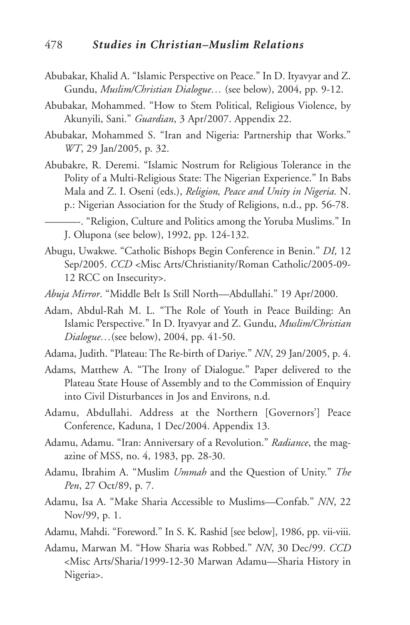- Abubakar, Khalid A. "Islamic Perspective on Peace." In D. Ityavyar and Z. Gundu, *Muslim/Christian Dialogue…* (see below), 2004, pp. 9-12.
- Abubakar, Mohammed. "How to Stem Political, Religious Violence, by Akunyili, Sani." *Guardian*, 3 Apr/2007. Appendix 22.
- Abubakar, Mohammed S. "Iran and Nigeria: Partnership that Works." *WT*, 29 Jan/2005, p. 32.
- Abubakre, R. Deremi. "Islamic Nostrum for Religious Tolerance in the Polity of a Multi-Religious State: The Nigerian Experience." In Babs Mala and Z. I. Oseni (eds.), *Religion, Peace and Unity in Nigeria.* N. p.: Nigerian Association for the Study of Religions, n.d., pp. 56-78.
- ———-. "Religion, Culture and Politics among the Yoruba Muslims." In J. Olupona (see below), 1992, pp. 124-132.
- Abugu, Uwakwe. "Catholic Bishops Begin Conference in Benin." *DI,* 12 Sep/2005. *CCD* <Misc Arts/Christianity/Roman Catholic/2005-09- 12 RCC on Insecurity>.
- *Abuja Mirror*. "Middle Belt Is Still North—Abdullahi." 19 Apr/2000.
- Adam, Abdul-Rah M. L. "The Role of Youth in Peace Building: An Islamic Perspective." In D. Ityavyar and Z. Gundu, *Muslim/Christian Dialogue…*(see below), 2004, pp. 41-50.
- Adama, Judith. "Plateau: The Re-birth of Dariye." *NN*, 29 Jan/2005, p. 4.
- Adams, Matthew A. "The Irony of Dialogue." Paper delivered to the Plateau State House of Assembly and to the Commission of Enquiry into Civil Disturbances in Jos and Environs, n.d.
- Adamu, Abdullahi. Address at the Northern [Governors'] Peace Conference, Kaduna, 1 Dec/2004. Appendix 13.
- Adamu, Adamu. "Iran: Anniversary of a Revolution." *Radiance*, the magazine of MSS, no. 4, 1983, pp. 28-30.
- Adamu, Ibrahim A. "Muslim *Ummah* and the Question of Unity." *The Pen*, 27 Oct/89, p. 7.
- Adamu, Isa A. "Make Sharia Accessible to Muslims—Confab." *NN*, 22 Nov/99, p. 1.
- Adamu, Mahdi. "Foreword." In S. K. Rashid [see below], 1986, pp. vii-viii.
- Adamu, Marwan M. "How Sharia was Robbed." *NN*, 30 Dec/99. *CCD* <Misc Arts/Sharia/1999-12-30 Marwan Adamu—Sharia History in Nigeria>.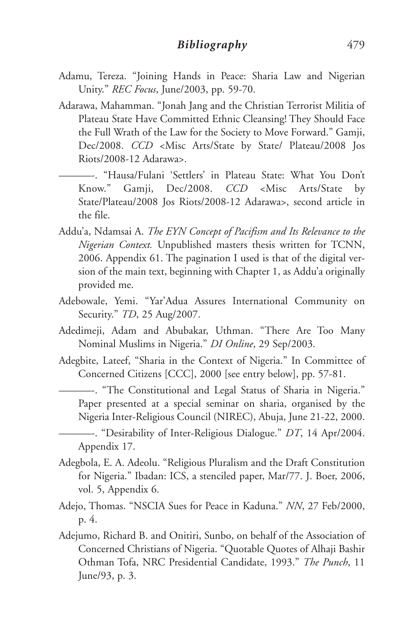- Adamu, Tereza. "Joining Hands in Peace: Sharia Law and Nigerian Unity." *REC Focus*, June/2003, pp. 59-70.
- Adarawa, Mahamman. "Jonah Jang and the Christian Terrorist Militia of Plateau State Have Committed Ethnic Cleansing! They Should Face the Full Wrath of the Law for the Society to Move Forward." Gamji, Dec/2008. *CCD* <Misc Arts/State by State/ Plateau/2008 Jos Riots/2008-12 Adarawa>.
	- ———-. "Hausa/Fulani 'Settlers' in Plateau State: What You Don't Know." Gamji, Dec/2008. *CCD* <Misc Arts/State by State/Plateau/2008 Jos Riots/2008-12 Adarawa>, second article in the file.
- Addu'a, Ndamsai A. *The EYN Concept of Pacifism and Its Relevance to the Nigerian Context.* Unpublished masters thesis written for TCNN, 2006. Appendix 61. The pagination I used is that of the digital version of the main text, beginning with Chapter 1, as Addu'a originally provided me.
- Adebowale, Yemi. "Yar'Adua Assures International Community on Security." *TD*, 25 Aug/2007.
- Adedimeji, Adam and Abubakar, Uthman. "There Are Too Many Nominal Muslims in Nigeria." *DI Online*, 29 Sep/2003.
- Adegbite, Lateef, "Sharia in the Context of Nigeria." In Committee of Concerned Citizens [CCC], 2000 [see entry below], pp. 57-81.

———-. "The Constitutional and Legal Status of Sharia in Nigeria." Paper presented at a special seminar on sharia, organised by the Nigeria Inter-Religious Council (NIREC), Abuja, June 21-22, 2000.

———-. "Desirability of Inter-Religious Dialogue." *DT*, 14 Apr/2004. Appendix 17.

- Adegbola, E. A. Adeolu. "Religious Pluralism and the Draft Constitution for Nigeria." Ibadan: ICS, a stenciled paper, Mar/77. J. Boer, 2006, vol. 5, Appendix 6.
- Adejo, Thomas. "NSCIA Sues for Peace in Kaduna." *NN*, 27 Feb/2000, p. 4.
- Adejumo, Richard B. and Onitiri, Sunbo, on behalf of the Association of Concerned Christians of Nigeria. "Quotable Quotes of Alhaji Bashir Othman Tofa, NRC Presidential Candidate, 1993." *The Punch*, 11 June/93, p. 3.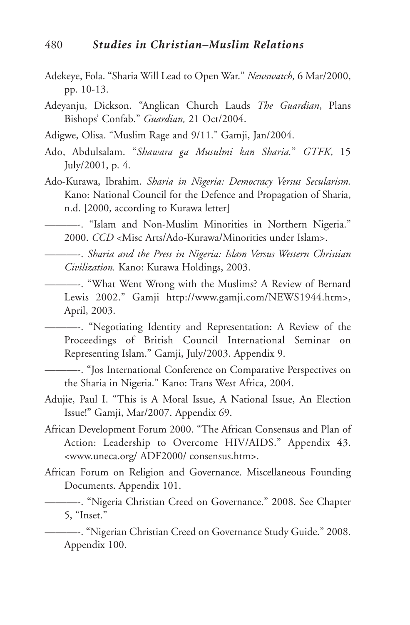- Adekeye, Fola. "Sharia Will Lead to Open War." *Newswatch,* 6 Mar/2000, pp. 10-13.
- Adeyanju, Dickson. "Anglican Church Lauds *The Guardian*, Plans Bishops' Confab." *Guardian,* 21 Oct/2004.
- Adigwe, Olisa. "Muslim Rage and 9/11." Gamji, Jan/2004.
- Ado, Abdulsalam. "*Shawara ga Musulmi kan Sharia.*" *GTFK*, 15 July/2001, p. 4.
- Ado-Kurawa, Ibrahim. *Sharia in Nigeria: Democracy Versus Secularism.* Kano: National Council for the Defence and Propagation of Sharia, n.d. [2000, according to Kurawa letter]
	- ———-. "Islam and Non-Muslim Minorities in Northern Nigeria." 2000. *CCD* <Misc Arts/Ado-Kurawa/Minorities under Islam>.
- ———-. *Sharia and the Press in Nigeria: Islam Versus Western Christian Civilization.* Kano: Kurawa Holdings, 2003.
	- ———-. "What Went Wrong with the Muslims? A Review of Bernard Lewis 2002." Gamji http://www.gamji.com/NEWS1944.htm>, April, 2003.
	- ———-. "Negotiating Identity and Representation: A Review of the Proceedings of British Council International Seminar on Representing Islam." Gamji, July/2003. Appendix 9.

———-. "Jos International Conference on Comparative Perspectives on the Sharia in Nigeria." Kano: Trans West Africa, 2004.

- Adujie, Paul I. "This is A Moral Issue, A National Issue, An Election Issue!" Gamji, Mar/2007. Appendix 69.
- African Development Forum 2000. "The African Consensus and Plan of Action: Leadership to Overcome HIV/AIDS." Appendix 43. <www.uneca.org/ ADF2000/ consensus.htm>.
- African Forum on Religion and Governance. Miscellaneous Founding Documents. Appendix 101.

———-. "Nigeria Christian Creed on Governance." 2008. See Chapter 5, "Inset."

———-. "Nigerian Christian Creed on Governance Study Guide." 2008. Appendix 100.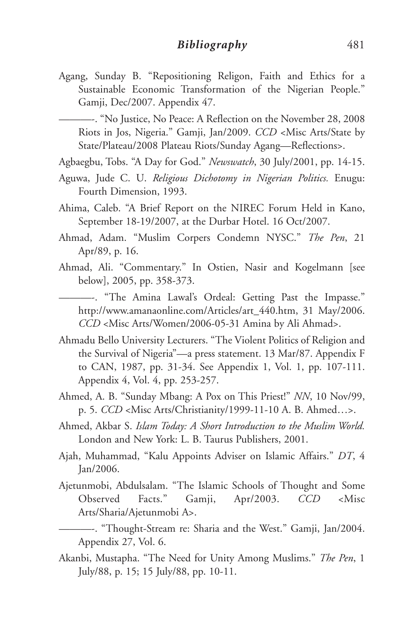Agang, Sunday B. "Repositioning Religon, Faith and Ethics for a Sustainable Economic Transformation of the Nigerian People." Gamji, Dec/2007. Appendix 47.

———-. "No Justice, No Peace: A Reflection on the November 28, 2008 Riots in Jos, Nigeria." Gamji, Jan/2009. *CCD* <Misc Arts/State by State/Plateau/2008 Plateau Riots/Sunday Agang—Reflections>.

Agbaegbu, Tobs. "A Day for God." *Newswatch*, 30 July/2001, pp. 14-15.

- Aguwa, Jude C. U. *Religious Dichotomy in Nigerian Politics.* Enugu: Fourth Dimension, 1993.
- Ahima, Caleb. "A Brief Report on the NIREC Forum Held in Kano, September 18-19/2007, at the Durbar Hotel. 16 Oct/2007.
- Ahmad, Adam. "Muslim Corpers Condemn NYSC." *The Pen*, 21 Apr/89, p. 16.
- Ahmad, Ali. "Commentary." In Ostien, Nasir and Kogelmann [see below], 2005, pp. 358-373.

———-. "The Amina Lawal's Ordeal: Getting Past the Impasse." http://www.amanaonline.com/Articles/art\_440.htm, 31 May/2006. *CCD* <Misc Arts/Women/2006-05-31 Amina by Ali Ahmad>.

- Ahmadu Bello University Lecturers. "The Violent Politics of Religion and the Survival of Nigeria"—a press statement. 13 Mar/87. Appendix F to CAN, 1987, pp. 31-34. See Appendix 1, Vol. 1, pp. 107-111. Appendix 4, Vol. 4, pp. 253-257.
- Ahmed, A. B. "Sunday Mbang: A Pox on This Priest!" *NN*, 10 Nov/99, p. 5. *CCD* <Misc Arts/Christianity/1999-11-10 A. B. Ahmed…>.
- Ahmed, Akbar S. *Islam Today: A Short Introduction to the Muslim World.* London and New York: L. B. Taurus Publishers, 2001.
- Ajah, Muhammad, "Kalu Appoints Adviser on Islamic Affairs." *DT*, 4 Jan/2006.
- Ajetunmobi, Abdulsalam. "The Islamic Schools of Thought and Some Observed Facts." Gamji, Apr/2003. *CCD* <Misc Arts/Sharia/Ajetunmobi A>.
	- ———-. "Thought-Stream re: Sharia and the West." Gamji, Jan/2004. Appendix 27, Vol. 6.
- Akanbi, Mustapha. "The Need for Unity Among Muslims." *The Pen*, 1 July/88, p. 15; 15 July/88, pp. 10-11.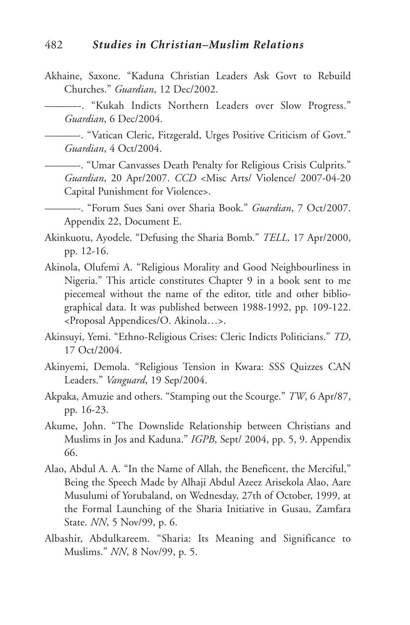Akhaine, Saxone. "Kaduna Christian Leaders Ask Govt to Rebuild Churches." *Guardian*, 12 Dec/2002.

———-. "Kukah Indicts Northern Leaders over Slow Progress." *Guardian*, 6 Dec/2004.

———-. "Vatican Cleric, Fitzgerald, Urges Positive Criticism of Govt." *Guardian*, 4 Oct/2004.

———-. "Umar Canvasses Death Penalty for Religious Crisis Culprits." *Guardian*, 20 Apr/2007. *CCD* <Misc Arts/ Violence/ 2007-04-20 Capital Punishment for Violence>.

———-. "Forum Sues Sani over Sharia Book." *Guardian*, 7 Oct/2007. Appendix 22, Document E.

- Akinkuotu, Ayodele. "Defusing the Sharia Bomb." *TELL,* 17 Apr/2000, pp. 12-16.
- Akinola, Olufemi A. "Religious Morality and Good Neighbourliness in Nigeria." This article constitutes Chapter 9 in a book sent to me piecemeal without the name of the editor, title and other bibliographical data. It was published between 1988-1992, pp. 109-122. <Proposal Appendices/O. Akinola…>.
- Akinsuyi, Yemi. "Ethno-Religious Crises: Cleric Indicts Politicians." *TD*, 17 Oct/2004.
- Akinyemi, Demola. "Religious Tension in Kwara: SSS Quizzes CAN Leaders." *Vanguard*, 19 Sep/2004.
- Akpaka, Amuzie and others. "Stamping out the Scourge." *TW*, 6 Apr/87, pp. 16-23.
- Akume, John. "The Downslide Relationship between Christians and Muslims in Jos and Kaduna." *IGPB*, Sept/ 2004, pp. 5, 9. Appendix 66.
- Alao, Abdul A. A. "In the Name of Allah, the Beneficent, the Merciful," Being the Speech Made by Alhaji Abdul Azeez Arisekola Alao, Aare Musulumi of Yorubaland, on Wednesday, 27th of October, 1999, at the Formal Launching of the Sharia Initiative in Gusau, Zamfara State. *NN*, 5 Nov/99, p. 6.
- Albashir, Abdulkareem. "Sharia: Its Meaning and Significance to Muslims." *NN*, 8 Nov/99, p. 5.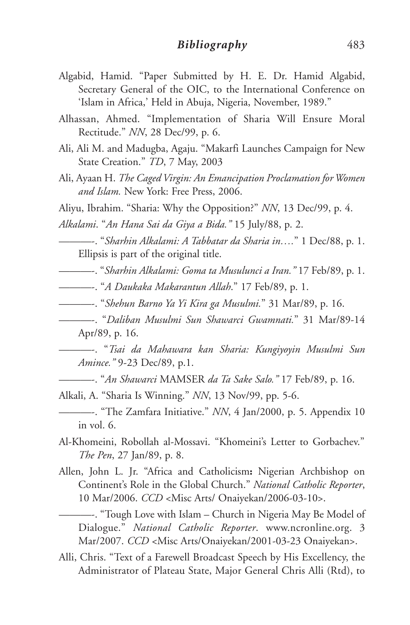- Algabid, Hamid. "Paper Submitted by H. E. Dr. Hamid Algabid, Secretary General of the OIC, to the International Conference on 'Islam in Africa,' Held in Abuja, Nigeria, November, 1989."
- Alhassan, Ahmed. "Implementation of Sharia Will Ensure Moral Rectitude." *NN*, 28 Dec/99, p. 6.
- Ali, Ali M. and Madugba, Agaju. "Makarfi Launches Campaign for New State Creation." *TD*, 7 May, 2003
- Ali, Ayaan H. *The Caged Virgin: An Emancipation Proclamation for Women and Islam.* New York: Free Press, 2006.
- Aliyu, Ibrahim. "Sharia: Why the Opposition?" *NN*, 13 Dec/99, p. 4.

*Alkalami*. "*An Hana Sai da Giya a Bida."* 15 July/88, p. 2.

———-. "*Sharhin Alkalami: A Tabbatar da Sharia in….*" 1 Dec/88, p. 1. Ellipsis is part of the original title.

———-. "*Sharhin Alkalami: Goma ta Musulunci a Iran."* 17 Feb/89, p. 1.

- ———-. "*A Daukaka Makarantun Allah*." 17 Feb/89, p. 1.
- ———-. "*Shehun Barno Ya Yi Kira ga Musulmi.*" 31 Mar/89, p. 16.
- ———-. "*Daliban Musulmi Sun Shawarci Gwamnati.*" 31 Mar/89-14 Apr/89, p. 16.

———-. "*Tsai da Mahawara kan Sharia: Kungiyoyin Musulmi Sun Amince."* 9-23 Dec/89, p.1.

———-. "*An Shawarci* MAMSER *da Ta Sake Salo."* 17 Feb/89, p. 16.

Alkali, A. "Sharia Is Winning." *NN*, 13 Nov/99, pp. 5-6.

- ———-. "The Zamfara Initiative." *NN*, 4 Jan/2000, p. 5. Appendix 10 in vol. 6.
- Al-Khomeini, Robollah al-Mossavi. "Khomeini's Letter to Gorbachev." *The Pen*, 27 Jan/89, p. 8.
- Allen, John L. Jr. "Africa and Catholicism**:** Nigerian Archbishop on Continent's Role in the Global Church." *National Catholic Reporter*, 10 Mar/2006. *CCD* <Misc Arts/ Onaiyekan/2006-03-10>.
	- ———-. "Tough Love with Islam Church in Nigeria May Be Model of Dialogue." *National Catholic Reporter*. www.ncronline.org. 3 Mar/2007. *CCD* <Misc Arts/Onaiyekan/2001-03-23 Onaiyekan>.
- Alli, Chris. "Text of a Farewell Broadcast Speech by His Excellency, the Administrator of Plateau State, Major General Chris Alli (Rtd), to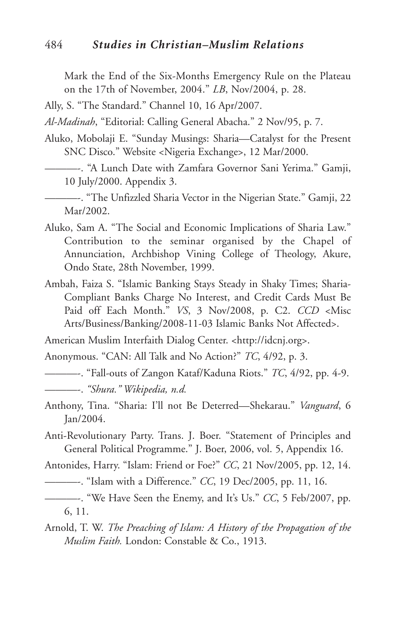#### 484 *Studies in Christian–Muslim Relations*

Mark the End of the Six-Months Emergency Rule on the Plateau on the 17th of November, 2004." *LB*, Nov/2004, p. 28.

Ally, S. "The Standard." Channel 10, 16 Apr/2007.

*Al-Madinah*, "Editorial: Calling General Abacha." 2 Nov/95, p. 7.

- Aluko, Mobolaji E. "Sunday Musings: Sharia—Catalyst for the Present SNC Disco." Website <Nigeria Exchange>, 12 Mar/2000.
	- ———-. "A Lunch Date with Zamfara Governor Sani Yerima." Gamji, 10 July/2000. Appendix 3.

———-. "The Unfizzled Sharia Vector in the Nigerian State." Gamji, 22 Mar/2002.

- Aluko, Sam A. "The Social and Economic Implications of Sharia Law." Contribution to the seminar organised by the Chapel of Annunciation, Archbishop Vining College of Theology, Akure, Ondo State, 28th November, 1999.
- Ambah, Faiza S. "Islamic Banking Stays Steady in Shaky Times; Sharia-Compliant Banks Charge No Interest, and Credit Cards Must Be Paid off Each Month." *VS*, 3 Nov/2008, p. C2. *CCD* <Misc Arts/Business/Banking/2008-11-03 Islamic Banks Not Affected>.

American Muslim Interfaith Dialog Center. <http://idcnj.org>.

Anonymous. "CAN: All Talk and No Action?" *TC*, 4/92, p. 3.

———-. "Fall-outs of Zangon Kataf/Kaduna Riots." *TC*, 4/92, pp. 4-9.

- Anthony, Tina. "Sharia: I'll not Be Deterred—Shekarau." *Vanguard*, 6 Jan/2004.
- Anti-Revolutionary Party. Trans. J. Boer. "Statement of Principles and General Political Programme." J. Boer, 2006, vol. 5, Appendix 16.

Antonides, Harry. "Islam: Friend or Foe?" *CC*, 21 Nov/2005, pp. 12, 14.

- ———-. "Islam with a Difference." *CC*, 19 Dec/2005, pp. 11, 16.
- ———-. "We Have Seen the Enemy, and It's Us." *CC*, 5 Feb/2007, pp. 6, 11.
- Arnold, T. W. *The Preaching of Islam: A History of the Propagation of the Muslim Faith.* London: Constable & Co., 1913.

<sup>———-.</sup> *"Shura." Wikipedia, n.d.*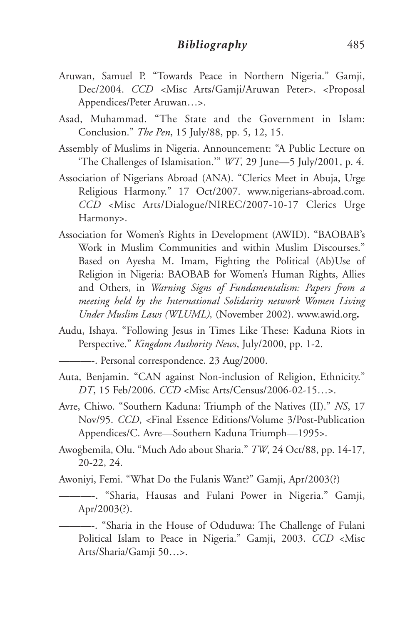- Aruwan, Samuel P. "Towards Peace in Northern Nigeria." Gamji, Dec/2004. *CCD <*Misc Arts/Gamji/Aruwan Peter>. <Proposal Appendices/Peter Aruwan…>.
- Asad, Muhammad. "The State and the Government in Islam: Conclusion." *The Pen*, 15 July/88, pp. 5, 12, 15.
- Assembly of Muslims in Nigeria. Announcement: "A Public Lecture on 'The Challenges of Islamisation.'" *WT*, 29 June—5 July/2001, p. 4.
- Association of Nigerians Abroad (ANA). "Clerics Meet in Abuja, Urge Religious Harmony." 17 Oct/2007. www.nigerians-abroad.com. *CCD* <Misc Arts/Dialogue/NIREC/2007-10-17 Clerics Urge Harmony>.
- Association for Women's Rights in Development (AWID). "BAOBAB's Work in Muslim Communities and within Muslim Discourses." Based on Ayesha M. Imam, Fighting the Political (Ab)Use of Religion in Nigeria: BAOBAB for Women's Human Rights, Allies and Others, in *Warning Signs of Fundamentalism: Papers from a meeting held by the International Solidarity network Women Living Under Muslim Laws (WLUML),* (November 2002). www.awid.org**.**
- Audu, Ishaya. "Following Jesus in Times Like These: Kaduna Riots in Perspective." *Kingdom Authority News*, July/2000, pp. 1-2.

———-. Personal correspondence. 23 Aug/2000.

- Auta, Benjamin. "CAN against Non-inclusion of Religion, Ethnicity." *DT*, 15 Feb/2006. *CCD* <Misc Arts/Census/2006-02-15…>.
- Avre, Chiwo. "Southern Kaduna: Triumph of the Natives (II)." *NS*, 17 Nov/95. *CCD*, <Final Essence Editions/Volume 3/Post-Publication Appendices/C. Avre—Southern Kaduna Triumph—1995>.
- Awogbemila, Olu. "Much Ado about Sharia." *TW*, 24 Oct/88, pp. 14-17, 20-22, 24.

Awoniyi, Femi. "What Do the Fulanis Want?" Gamji, Apr/2003(?)

———-. "Sharia, Hausas and Fulani Power in Nigeria." Gamji, Apr/2003(?).

———-. "Sharia in the House of Oduduwa: The Challenge of Fulani Political Islam to Peace in Nigeria." Gamji, 2003. *CCD* <Misc Arts/Sharia/Gamji 50…>.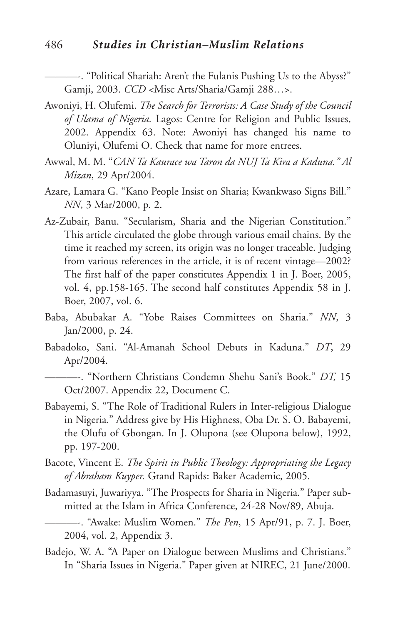#### 486 *Studies in Christian–Muslim Relations*

———-. "Political Shariah: Aren't the Fulanis Pushing Us to the Abyss?" Gamji, 2003. *CCD* <Misc Arts/Sharia/Gamji 288…>.

- Awoniyi, H. Olufemi. *The Search for Terrorists: A Case Study of the Council of Ulama of Nigeria.* Lagos: Centre for Religion and Public Issues, 2002. Appendix 63. Note: Awoniyi has changed his name to Oluniyi, Olufemi O. Check that name for more entrees.
- Awwal, M. M. "*CAN Ta Kaurace wa Taron da NUJ Ta Kira a Kaduna." Al Mizan*, 29 Apr/2004.
- Azare, Lamara G. "Kano People Insist on Sharia; Kwankwaso Signs Bill." *NN*, 3 Mar/2000, p. 2.
- Az-Zubair, Banu. "Secularism, Sharia and the Nigerian Constitution." This article circulated the globe through various email chains. By the time it reached my screen, its origin was no longer traceable. Judging from various references in the article, it is of recent vintage—2002? The first half of the paper constitutes Appendix 1 in J. Boer, 2005, vol. 4, pp.158-165. The second half constitutes Appendix 58 in J. Boer, 2007, vol. 6.
- Baba, Abubakar A. "Yobe Raises Committees on Sharia." *NN*, 3 Jan/2000, p. 24.
- Babadoko, Sani. "Al-Amanah School Debuts in Kaduna." *DT*, 29 Apr/2004.

———-. "Northern Christians Condemn Shehu Sani's Book." *DT,* 15 Oct/2007. Appendix 22, Document C.

- Babayemi, S. "The Role of Traditional Rulers in Inter-religious Dialogue in Nigeria." Address give by His Highness, Oba Dr. S. O. Babayemi, the Olufu of Gbongan. In J. Olupona (see Olupona below), 1992, pp. 197-200.
- Bacote, Vincent E. *The Spirit in Public Theology: Appropriating the Legacy of Abraham Kuyper.* Grand Rapids: Baker Academic, 2005.
- Badamasuyi, Juwariyya. "The Prospects for Sharia in Nigeria." Paper submitted at the Islam in Africa Conference, 24-28 Nov/89, Abuja.
- ———-. "Awake: Muslim Women." *The Pen*, 15 Apr/91, p. 7. J. Boer, 2004, vol. 2, Appendix 3.
- Badejo, W. A. "A Paper on Dialogue between Muslims and Christians." In "Sharia Issues in Nigeria." Paper given at NIREC, 21 June/2000.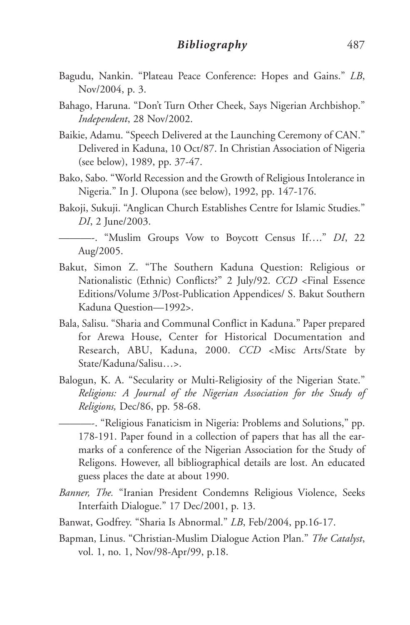- Bagudu, Nankin. "Plateau Peace Conference: Hopes and Gains." *LB*, Nov/2004, p. 3.
- Bahago, Haruna. "Don't Turn Other Cheek, Says Nigerian Archbishop." *Independent*, 28 Nov/2002.
- Baikie, Adamu. "Speech Delivered at the Launching Ceremony of CAN." Delivered in Kaduna, 10 Oct/87. In Christian Association of Nigeria (see below), 1989, pp. 37-47.
- Bako, Sabo. "World Recession and the Growth of Religious Intolerance in Nigeria." In J. Olupona (see below), 1992, pp. 147-176.
- Bakoji, Sukuji. "Anglican Church Establishes Centre for Islamic Studies." *DI*, 2 June/2003.
- ———-. "Muslim Groups Vow to Boycott Census If…." *DI*, 22 Aug/2005.
- Bakut, Simon Z. "The Southern Kaduna Question: Religious or Nationalistic (Ethnic) Conflicts?" 2 July/92. *CCD* <Final Essence Editions/Volume 3/Post-Publication Appendices/ S. Bakut Southern Kaduna Question—1992>.
- Bala, Salisu. "Sharia and Communal Conflict in Kaduna." Paper prepared for Arewa House, Center for Historical Documentation and Research, ABU, Kaduna, 2000. *CCD* <Misc Arts/State by State/Kaduna/Salisu…>.
- Balogun, K. A. "Secularity or Multi-Religiosity of the Nigerian State." *Religions: A Journal of the Nigerian Association for the Study of Religions,* Dec/86, pp. 58-68.

———-. "Religious Fanaticism in Nigeria: Problems and Solutions," pp. 178-191. Paper found in a collection of papers that has all the earmarks of a conference of the Nigerian Association for the Study of Religons. However, all bibliographical details are lost. An educated guess places the date at about 1990.

- *Banner, The.* "Iranian President Condemns Religious Violence, Seeks Interfaith Dialogue." 17 Dec/2001, p. 13.
- Banwat, Godfrey. "Sharia Is Abnormal." *LB*, Feb/2004, pp.16-17.
- Bapman, Linus. "Christian-Muslim Dialogue Action Plan." *The Catalyst*, vol. 1, no. 1, Nov/98-Apr/99, p.18.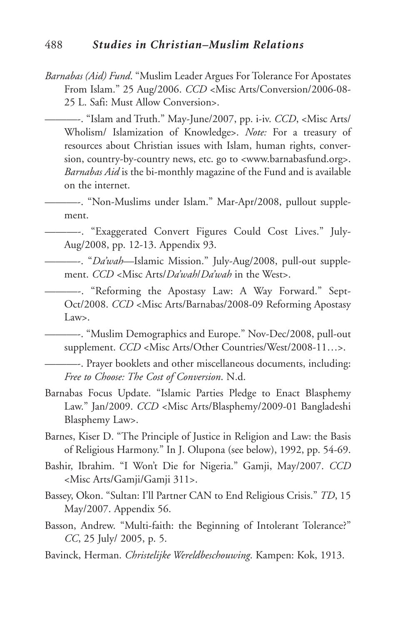- *Barnabas (Aid) Fund*. "Muslim Leader Argues For Tolerance For Apostates From Islam." 25 Aug/2006. *CCD* <Misc Arts/Conversion/2006-08- 25 L. Safi: Must Allow Conversion>.
	- ———-. "Islam and Truth." May-June/2007, pp. i-iv. *CCD*, <Misc Arts/ Wholism/ Islamization of Knowledge>. *Note:* For a treasury of resources about Christian issues with Islam, human rights, conversion, country-by-country news, etc. go to <www.barnabasfund.org>. *Barnabas Aid* is the bi-monthly magazine of the Fund and is available on the internet.
	- ———-. "Non-Muslims under Islam." Mar-Apr/2008, pullout supplement.

———-. "Exaggerated Convert Figures Could Cost Lives." July-Aug/2008, pp. 12-13. Appendix 93.

- ———-. "*Da'wah—*Islamic Mission." July-Aug/2008, pull-out supplement. *CCD* <Misc Arts/*Da'wah*/*Da'wah* in the West>.
	- ———-. "Reforming the Apostasy Law: A Way Forward." Sept-Oct/2008. *CCD* <Misc Arts/Barnabas/2008-09 Reforming Apostasy Law>.

———-. "Muslim Demographics and Europe." Nov-Dec/2008, pull-out supplement. *CCD* <Misc Arts/Other Countries/West/2008-11…>.

———-. Prayer booklets and other miscellaneous documents, including: *Free to Choose: The Cost of Conversion*. N.d.

- Barnabas Focus Update. "Islamic Parties Pledge to Enact Blasphemy Law." Jan/2009. *CCD* <Misc Arts/Blasphemy/2009-01 Bangladeshi Blasphemy Law>.
- Barnes, Kiser D. "The Principle of Justice in Religion and Law: the Basis of Religious Harmony." In J. Olupona (see below), 1992, pp. 54-69.
- Bashir, Ibrahim. "I Won't Die for Nigeria." Gamji, May/2007. *CCD* <Misc Arts/Gamji/Gamji 311>.
- Bassey, Okon. "Sultan: I'll Partner CAN to End Religious Crisis." *TD*, 15 May/2007. Appendix 56.
- Basson, Andrew. "Multi-faith: the Beginning of Intolerant Tolerance?" *CC*, 25 July/ 2005, p. 5.
- Bavinck, Herman. *Christelijke Wereldbeschouwing*. Kampen: Kok, 1913.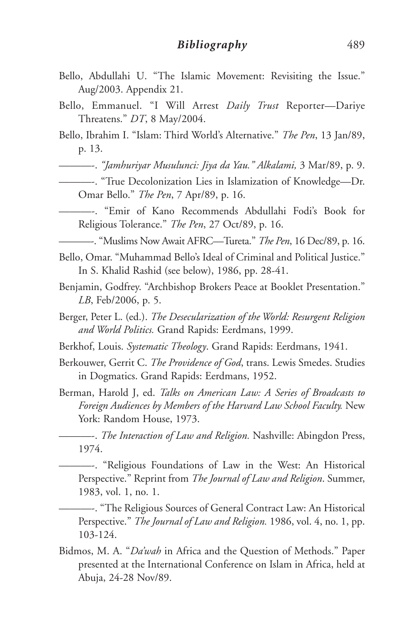- Bello, Abdullahi U. "The Islamic Movement: Revisiting the Issue." Aug/2003. Appendix 21.
- Bello, Emmanuel. "I Will Arrest *Daily Trust* Reporter—Dariye Threatens." *DT*, 8 May/2004.
- Bello, Ibrahim I. "Islam: Third World's Alternative." *The Pen*, 13 Jan/89, p. 13.

———-. *"Jamhuriyar Musulunci: Jiya da Yau." Alkalami,* 3 Mar/89, p. 9.

- ———-. "True Decolonization Lies in Islamization of Knowledge—Dr. Omar Bello." *The Pen*, 7 Apr/89, p. 16.
- ———-. "Emir of Kano Recommends Abdullahi Fodi's Book for Religious Tolerance." *The Pen*, 27 Oct/89, p. 16.
	- ———-. "Muslims Now Await AFRC—Tureta." *The Pen*, 16 Dec/89, p. 16.
- Bello, Omar. "Muhammad Bello's Ideal of Criminal and Political Justice." In S. Khalid Rashid (see below), 1986, pp. 28-41.
- Benjamin, Godfrey. "Archbishop Brokers Peace at Booklet Presentation." *LB*, Feb/2006, p. 5.
- Berger, Peter L. (ed.). *The Desecularization of the World: Resurgent Religion and World Politics.* Grand Rapids: Eerdmans, 1999.
- Berkhof, Louis. *Systematic Theology*. Grand Rapids: Eerdmans, 1941.
- Berkouwer, Gerrit C. *The Providence of God*, trans. Lewis Smedes. Studies in Dogmatics. Grand Rapids: Eerdmans, 1952.
- Berman, Harold J, ed. *Talks on American Law: A Series of Broadcasts to Foreign Audiences by Members of the Harvard Law School Faculty.* New York: Random House, 1973.

———-. *The Interaction of Law and Religion.* Nashville: Abingdon Press, 1974.

———-. "Religious Foundations of Law in the West: An Historical Perspective." Reprint from *The Journal of Law and Religion*. Summer, 1983, vol. 1, no. 1.

———-. "The Religious Sources of General Contract Law: An Historical Perspective." *The Journal of Law and Religion.* 1986, vol. 4, no. 1, pp. 103-124.

Bidmos, M. A. "*Da'wah* in Africa and the Question of Methods." Paper presented at the International Conference on Islam in Africa, held at Abuja, 24-28 Nov/89.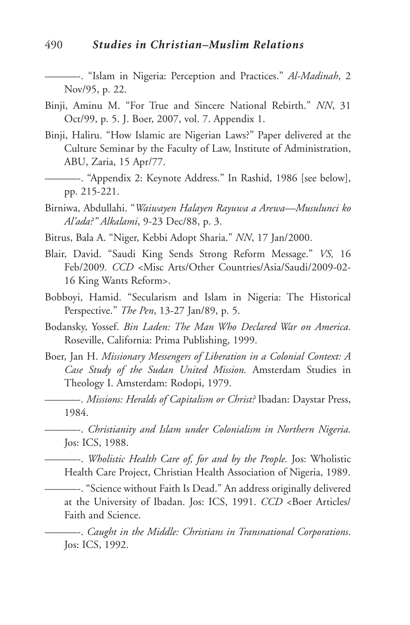———-. "Islam in Nigeria: Perception and Practices." *Al-Madinah*, 2 Nov/95, p. 22.

- Binji, Aminu M. "For True and Sincere National Rebirth." *NN*, 31 Oct/99, p. 5. J. Boer, 2007, vol. 7. Appendix 1.
- Binji, Haliru. "How Islamic are Nigerian Laws?" Paper delivered at the Culture Seminar by the Faculty of Law, Institute of Administration, ABU, Zaria, 15 Apr/77.
- ———-. "Appendix 2: Keynote Address." In Rashid, 1986 [see below], pp. 215-221.
- Birniwa, Abdullahi. "*Waiwayen Halayen Rayuwa a Arewa—Musulunci ko Al'ada?" Alkalami*, 9-23 Dec/88, p. 3.
- Bitrus, Bala A. "Niger, Kebbi Adopt Sharia." *NN*, 17 Jan/2000.
- Blair, David. "Saudi King Sends Strong Reform Message." *VS,* 16 Feb/2009*. CCD* <Misc Arts/Other Countries/Asia/Saudi/2009-02- 16 King Wants Reform>.
- Bobboyi, Hamid. "Secularism and Islam in Nigeria: The Historical Perspective." *The Pen*, 13-27 Jan/89, p. 5.
- Bodansky, Yossef. *Bin Laden: The Man Who Declared War on America.* Roseville, California: Prima Publishing, 1999.
- Boer, Jan H. *Missionary Messengers of Liberation in a Colonial Context: A Case Study of the Sudan United Mission.* Amsterdam Studies in Theology I. Amsterdam: Rodopi, 1979.
	- ———-. *Missions: Heralds of Capitalism or Christ?* Ibadan: Daystar Press, 1984.
	- ———-. *Christianity and Islam under Colonialism in Northern Nigeria.* Jos: ICS, 1988.
	- ———-. *Wholistic Health Care of, for and by the People.* Jos: Wholistic Health Care Project, Christian Health Association of Nigeria, 1989.

———-. "Science without Faith Is Dead." An address originally delivered at the University of Ibadan. Jos: ICS, 1991. *CCD* <Boer Articles/ Faith and Science.

———-. *Caught in the Middle: Christians in Transnational Corporations*. Jos: ICS, 1992.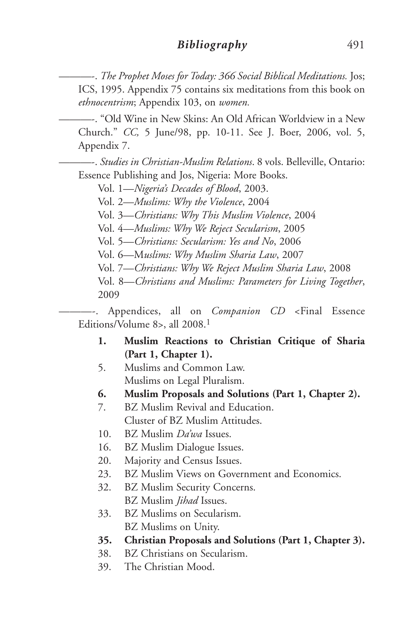———-. *The Prophet Moses for Today: 366 Social Biblical Meditations.* Jos; ICS, 1995. Appendix 75 contains six meditations from this book on *ethnocentrism*; Appendix 103, on *women.*

———-. "Old Wine in New Skins: An Old African Worldview in a New Church." *CC,* 5 June/98, pp. 10-11. See J. Boer, 2006, vol. 5, Appendix 7.

———-. *Studies in Christian-Muslim Relations*. 8 vols. Belleville, Ontario: Essence Publishing and Jos, Nigeria: More Books.

Vol. 1—*Nigeria's Decades of Blood*, 2003.

Vol. 2—*Muslims: Why the Violence*, 2004

Vol. 3—*Christians: Why This Muslim Violence*, 2004

Vol. 4—*Muslims: Why We Reject Secularism*, 2005

Vol. 5—*Christians: Secularism: Yes and No*, 2006

Vol. 6—M*uslims: Why Muslim Sharia Law*, 2007

Vol. 7—*Christians: Why We Reject Muslim Sharia Law*, 2008

Vol. 8—*Christians and Muslims: Parameters for Living Together*, 2009

———-. Appendices, all on *Companion CD* <Final Essence Editions/Volume 8>, all 2008. 1

- **1. Muslim Reactions to Christian Critique of Sharia (Part 1, Chapter 1).**
- 5. Muslims and Common Law. Muslims on Legal Pluralism.
- **6. Muslim Proposals and Solutions (Part 1, Chapter 2).**
- 7. BZ Muslim Revival and Education. Cluster of BZ Muslim Attitudes.
- 10. BZ Muslim *Da'wa* Issues.
- 16. BZ Muslim Dialogue Issues.
- 20. Majority and Census Issues.
- 23. BZ Muslim Views on Government and Economics.
- 32. BZ Muslim Security Concerns. BZ Muslim *Jihad* Issues.
- 33. BZ Muslims on Secularism. BZ Muslims on Unity.
- **35. Christian Proposals and Solutions (Part 1, Chapter 3).**
- 38. BZ Christians on Secularism.
- 39. The Christian Mood.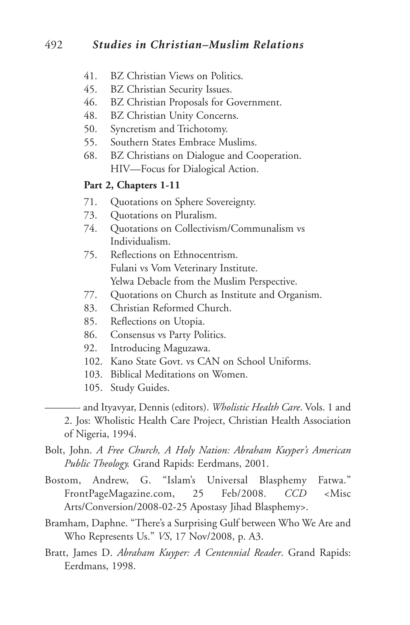- 41. BZ Christian Views on Politics.
- 45. BZ Christian Security Issues.<br>46. BZ Christian Proposals for G
- BZ Christian Proposals for Government.
- 48. BZ Christian Unity Concerns.
- 50. Syncretism and Trichotomy.
- 55. Southern States Embrace Muslims.
- 68. BZ Christians on Dialogue and Cooperation. HIV—Focus for Dialogical Action.

#### **Part 2, Chapters 1-11**

- 71. Quotations on Sphere Sovereignty.
- 73. Quotations on Pluralism.
- 74. Quotations on Collectivism/Communalism vs Individualism.
- 75. Reflections on Ethnocentrism. Fulani vs Vom Veterinary Institute. Yelwa Debacle from the Muslim Perspective.
- 77. Quotations on Church as Institute and Organism.
- 83. Christian Reformed Church.
- 85. Reflections on Utopia.
- 86. Consensus vs Party Politics.
- 92. Introducing Maguzawa.
- 102. Kano State Govt. vs CAN on School Uniforms.
- 103. Biblical Meditations on Women.
- 105. Study Guides.

———- and Ityavyar, Dennis (editors). *Wholistic Health Care*. Vols. 1 and 2. Jos: Wholistic Health Care Project, Christian Health Association of Nigeria, 1994.

- Bolt, John. *A Free Church, A Holy Nation: Abraham Kuyper's American Public Theology.* Grand Rapids: Eerdmans, 2001.
- Bostom, Andrew, G. "Islam's Universal Blasphemy Fatwa." FrontPageMagazine.com, 25 Feb/2008. *CCD* <Misc Arts/Conversion/2008-02-25 Apostasy Jihad Blasphemy>.
- Bramham, Daphne. "There's a Surprising Gulf between Who We Are and Who Represents Us." *VS*, 17 Nov/2008, p. A3.
- Bratt, James D. *Abraham Kuyper: A Centennial Reader*. Grand Rapids: Eerdmans, 1998.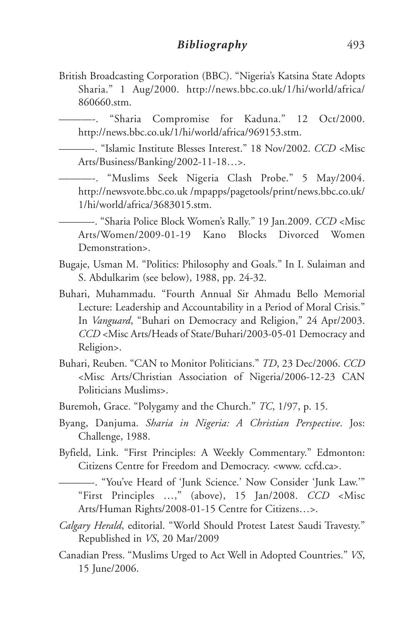British Broadcasting Corporation (BBC). "Nigeria's Katsina State Adopts Sharia." 1 Aug/2000. http://news.bbc.co.uk/1/hi/world/africa/ 860660.stm.

———-. "Sharia Compromise for Kaduna." 12 Oct/2000. http://news.bbc.co.uk/1/hi/world/africa/969153.stm.

———-. "Islamic Institute Blesses Interest." 18 Nov/2002. *CCD* <Misc Arts/Business/Banking/2002-11-18…>.

———-. "Muslims Seek Nigeria Clash Probe." 5 May/2004. http://newsvote.bbc.co.uk /mpapps/pagetools/print/news.bbc.co.uk/ 1/hi/world/africa/3683015.stm.

———-. "Sharia Police Block Women's Rally." 19 Jan.2009. *CCD* <Misc Arts/Women/2009-01-19 Kano Blocks Divorced Women Demonstration>.

- Bugaje, Usman M. "Politics: Philosophy and Goals." In I. Sulaiman and S. Abdulkarim (see below), 1988, pp. 24-32.
- Buhari, Muhammadu. "Fourth Annual Sir Ahmadu Bello Memorial Lecture: Leadership and Accountability in a Period of Moral Crisis." In *Vanguard*, "Buhari on Democracy and Religion," 24 Apr/2003. *CCD* <Misc Arts/Heads of State/Buhari/2003-05-01 Democracy and Religion>.
- Buhari, Reuben. "CAN to Monitor Politicians." *TD*, 23 Dec/2006. *CCD* <Misc Arts/Christian Association of Nigeria/2006-12-23 CAN Politicians Muslims>.
- Buremoh, Grace. "Polygamy and the Church." *TC*, 1/97, p. 15.
- Byang, Danjuma. *Sharia in Nigeria: A Christian Perspective*. Jos: Challenge, 1988.
- Byfield, Link. "First Principles: A Weekly Commentary." Edmonton: Citizens Centre for Freedom and Democracy. <www. ccfd.ca>.

———-. "You've Heard of 'Junk Science.' Now Consider 'Junk Law.'" "First Principles …," (above), 15 Jan/2008. *CCD* <Misc Arts/Human Rights/2008-01-15 Centre for Citizens…>.

- *Calgary Herald*, editorial. "World Should Protest Latest Saudi Travesty." Republished in *VS*, 20 Mar/2009
- Canadian Press. "Muslims Urged to Act Well in Adopted Countries." *VS*, 15 June/2006.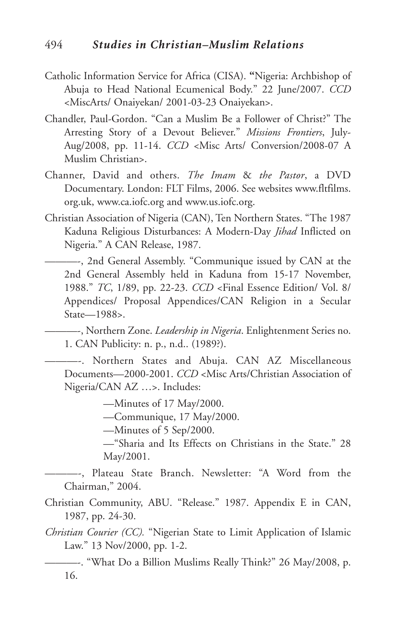- Catholic Information Service for Africa (CISA). **"**Nigeria: Archbishop of Abuja to Head National Ecumenical Body." 22 June/2007. *CCD* <MiscArts/ Onaiyekan/ 2001-03-23 Onaiyekan>.
- Chandler, Paul-Gordon. "Can a Muslim Be a Follower of Christ?" The Arresting Story of a Devout Believer." *Missions Frontiers*, July-Aug/2008, pp. 11-14. *CCD* <Misc Arts/ Conversion/2008-07 A Muslim Christian>.
- Channer, David and others. *The Imam* & *the Pastor*, a DVD Documentary. London: FLT Films, 2006. See websites www.fltfilms. org.uk, www.ca.iofc.org and www.us.iofc.org.
- Christian Association of Nigeria (CAN), Ten Northern States. "The 1987 Kaduna Religious Disturbances: A Modern-Day *Jihad* Inflicted on Nigeria." A CAN Release, 1987.
- ———-, 2nd General Assembly. "Communique issued by CAN at the 2nd General Assembly held in Kaduna from 15-17 November, 1988." *TC*, 1/89, pp. 22-23. *CCD* <Final Essence Edition/ Vol. 8/ Appendices/ Proposal Appendices/CAN Religion in a Secular State—1988>.

———-, Northern Zone. *Leadership in Nigeria*. Enlightenment Series no. 1. CAN Publicity: n. p., n.d.. (1989?).

———-. Northern States and Abuja. CAN AZ Miscellaneous Documents—2000-2001. *CCD* <Misc Arts/Christian Association of Nigeria/CAN AZ …>. Includes:

—Minutes of 17 May/2000.

—Communique, 17 May/2000.

—Minutes of 5 Sep/2000.

—"Sharia and Its Effects on Christians in the State." 28 May/2001.

———-, Plateau State Branch. Newsletter: "A Word from the Chairman," 2004.

Christian Community, ABU. "Release." 1987. Appendix E in CAN, 1987, pp. 24-30.

- *Christian Courier (CC).* "Nigerian State to Limit Application of Islamic Law." 13 Nov/2000, pp. 1-2.
	- ———-. "What Do a Billion Muslims Really Think?" 26 May/2008, p. 16.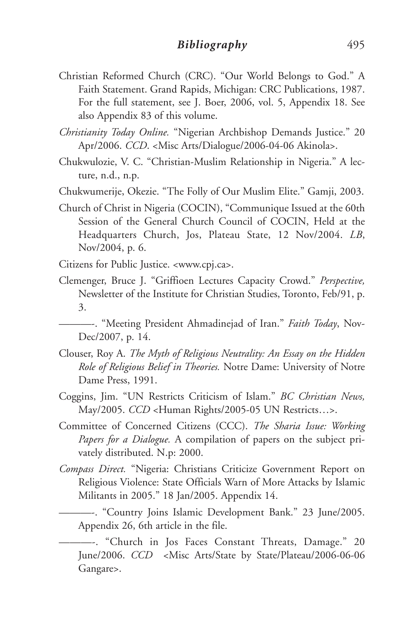- Christian Reformed Church (CRC). "Our World Belongs to God." A Faith Statement. Grand Rapids, Michigan: CRC Publications, 1987. For the full statement, see J. Boer, 2006, vol. 5, Appendix 18. See also Appendix 83 of this volume.
- *Christianity Today Online.* "Nigerian Archbishop Demands Justice." 20 Apr/2006. *CCD*. <Misc Arts/Dialogue/2006-04-06 Akinola>.
- Chukwulozie, V. C. "Christian-Muslim Relationship in Nigeria." A lecture, n.d., n.p.
- Chukwumerije, Okezie. "The Folly of Our Muslim Elite." Gamji, 2003.
- Church of Christ in Nigeria (COCIN), "Communique Issued at the 60th Session of the General Church Council of COCIN, Held at the Headquarters Church, Jos, Plateau State, 12 Nov/2004. *LB*, Nov/2004, p. 6.
- Citizens for Public Justice. <www.cpj.ca>.
- Clemenger, Bruce J. "Griffioen Lectures Capacity Crowd." *Perspective,* Newsletter of the Institute for Christian Studies, Toronto, Feb/91, p. 3.

———-. "Meeting President Ahmadinejad of Iran." *Faith Today*, Nov-Dec/2007, p. 14.

- Clouser, Roy A. *The Myth of Religious Neutrality: An Essay on the Hidden Role of Religious Belief in Theories.* Notre Dame: University of Notre Dame Press, 1991.
- Coggins, Jim. "UN Restricts Criticism of Islam." *BC Christian News,* May/2005. *CCD* <Human Rights/2005-05 UN Restricts…>.
- Committee of Concerned Citizens (CCC). *The Sharia Issue: Working Papers for a Dialogue.* A compilation of papers on the subject privately distributed. N.p: 2000.
- *Compass Direct.* "Nigeria: Christians Criticize Government Report on Religious Violence: State Officials Warn of More Attacks by Islamic Militants in 2005." 18 Jan/2005. Appendix 14.

———-. "Country Joins Islamic Development Bank." 23 June/2005. Appendix 26, 6th article in the file.

———-. "Church in Jos Faces Constant Threats, Damage." 20 June/2006. *CCD* <Misc Arts/State by State/Plateau/2006-06-06 Gangare>.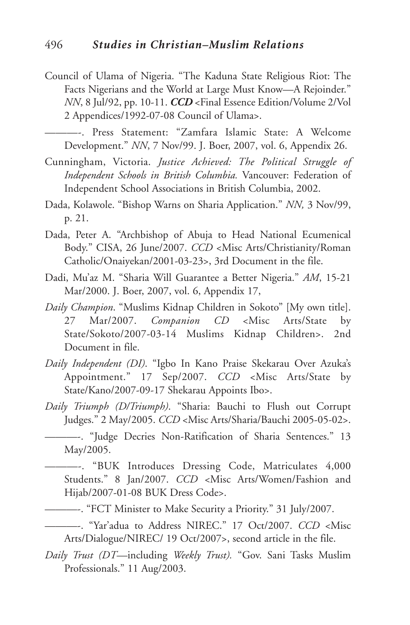Council of Ulama of Nigeria. "The Kaduna State Religious Riot: The Facts Nigerians and the World at Large Must Know—A Rejoinder." *NN*, 8 Jul/92, pp. 10-11. *CCD* <Final Essence Edition/Volume 2/Vol 2 Appendices/1992-07-08 Council of Ulama>.

———-. Press Statement: "Zamfara Islamic State: A Welcome Development." *NN*, 7 Nov/99. J. Boer, 2007, vol. 6, Appendix 26.

- Cunningham, Victoria. *Justice Achieved: The Political Struggle of Independent Schools in British Columbia.* Vancouver: Federation of Independent School Associations in British Columbia, 2002.
- Dada, Kolawole. "Bishop Warns on Sharia Application." *NN,* 3 Nov/99, p. 21.
- Dada, Peter A. "Archbishop of Abuja to Head National Ecumenical Body." CISA, 26 June/2007. *CCD* <Misc Arts/Christianity/Roman Catholic/Onaiyekan/2001-03-23>, 3rd Document in the file.
- Dadi, Mu'az M. "Sharia Will Guarantee a Better Nigeria." *AM*, 15-21 Mar/2000. J. Boer, 2007, vol. 6, Appendix 17,
- *Daily Champion*. "Muslims Kidnap Children in Sokoto" [My own title]. 27 Mar/2007. *Companion CD* <Misc Arts/State by State/Sokoto/2007-03-14 Muslims Kidnap Children>. 2nd Document in file.
- *Daily Independent (DI)*. "Igbo In Kano Praise Skekarau Over Azuka's Appointment." 17 Sep/2007. *CCD* <Misc Arts/State by State/Kano/2007-09-17 Shekarau Appoints Ibo>.
- *Daily Triumph (D/Triumph)*. "Sharia: Bauchi to Flush out Corrupt Judges." 2 May/2005. *CCD* <Misc Arts/Sharia/Bauchi 2005-05-02>.

———-. "Judge Decries Non-Ratification of Sharia Sentences." 13 May/2005.

———-. "BUK Introduces Dressing Code, Matriculates 4,000 Students." 8 Jan/2007. *CCD* <Misc Arts/Women/Fashion and Hijab/2007-01-08 BUK Dress Code>.

———-. "FCT Minister to Make Security a Priority." 31 July/2007.

- ———-. "Yar'adua to Address NIREC." 17 Oct/2007. *CCD* <Misc Arts/Dialogue/NIREC/ 19 Oct/2007>, second article in the file.
- *Daily Trust (DT*—including *Weekly Trust).* "Gov. Sani Tasks Muslim Professionals." 11 Aug/2003.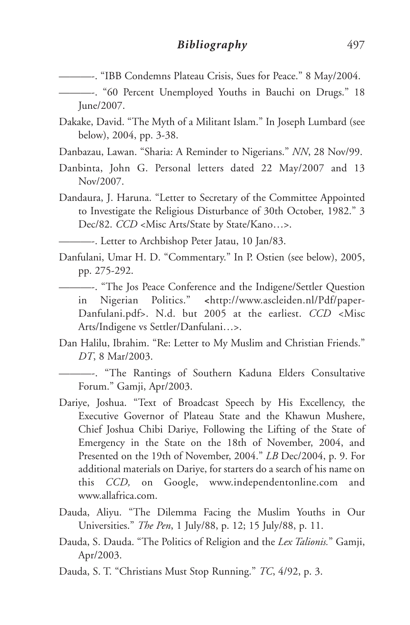- ———-. "IBB Condemns Plateau Crisis, Sues for Peace." 8 May/2004.
	- ———-. "60 Percent Unemployed Youths in Bauchi on Drugs." 18 June/2007.
- Dakake, David. "The Myth of a Militant Islam." In Joseph Lumbard (see below), 2004, pp. 3-38.
- Danbazau, Lawan. "Sharia: A Reminder to Nigerians." *NN*, 28 Nov/99.
- Danbinta, John G. Personal letters dated 22 May/2007 and 13 Nov/2007.
- Dandaura, J. Haruna. "Letter to Secretary of the Committee Appointed to Investigate the Religious Disturbance of 30th October, 1982." 3 Dec/82. *CCD* <Misc Arts/State by State/Kano…>.
	- ———-. Letter to Archbishop Peter Jatau, 10 Jan/83.
- Danfulani, Umar H. D. "Commentary." In P. Ostien (see below), 2005, pp. 275-292.
	- ———-. "The Jos Peace Conference and the Indigene/Settler Question in Nigerian Politics." **<**http://www.ascleiden.nl/Pdf/paper-Danfulani.pdf>. N.d. but 2005 at the earliest. *CCD <*Misc Arts/Indigene vs Settler/Danfulani…>.
- Dan Halilu, Ibrahim. "Re: Letter to My Muslim and Christian Friends." *DT*, 8 Mar/2003.
	- ———-. "The Rantings of Southern Kaduna Elders Consultative Forum." Gamji, Apr/2003.
- Dariye, Joshua. "Text of Broadcast Speech by His Excellency, the Executive Governor of Plateau State and the Khawun Mushere, Chief Joshua Chibi Dariye, Following the Lifting of the State of Emergency in the State on the 18th of November, 2004, and Presented on the 19th of November, 2004." *LB* Dec/2004, p. 9. For additional materials on Dariye, for starters do a search of his name on this *CCD,* on Google, www.independentonline.com and www.allafrica.com.
- Dauda, Aliyu. "The Dilemma Facing the Muslim Youths in Our Universities." *The Pen*, 1 July/88, p. 12; 15 July/88, p. 11.
- Dauda, S. Dauda. "The Politics of Religion and the *Lex Talionis.*" Gamji, Apr/2003.
- Dauda, S. T. "Christians Must Stop Running." *TC*, 4/92, p. 3.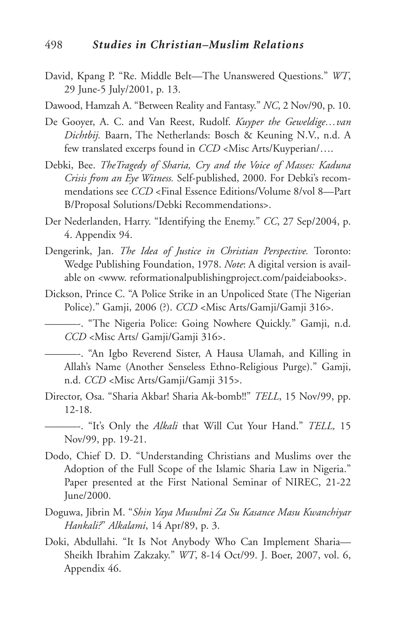- David, Kpang P. "Re. Middle Belt—The Unanswered Questions." *WT*, 29 June-5 July/2001, p. 13.
- Dawood, Hamzah A. "Between Reality and Fantasy." *NC*, 2 Nov/90, p. 10.
- De Gooyer, A. C. and Van Reest, Rudolf. *Kuyper the Geweldige…van Dichtbij.* Baarn, The Netherlands: Bosch & Keuning N.V., n.d. A few translated excerps found in *CCD* <Misc Arts/Kuyperian/….
- Debki, Bee. *TheTragedy of Sharia, Cry and the Voice of Masses: Kaduna Crisis from an Eye Witness.* Self-published, 2000. For Debki's recommendations see *CCD* <Final Essence Editions/Volume 8/vol 8—Part B/Proposal Solutions/Debki Recommendations>.
- Der Nederlanden, Harry. "Identifying the Enemy." *CC*, 27 Sep/2004, p. 4. Appendix 94.
- Dengerink, Jan. *The Idea of Justice in Christian Perspective.* Toronto: Wedge Publishing Foundation, 1978. *Note*: A digital version is available on <www. reformationalpublishingproject.com/paideiabooks>.
- Dickson, Prince C. "A Police Strike in an Unpoliced State (The Nigerian Police)." Gamji, 2006 (?). *CCD* <Misc Arts/Gamji/Gamji 316>.

———-. "The Nigeria Police: Going Nowhere Quickly." Gamji, n.d. *CCD* <Misc Arts/ Gamji/Gamji 316>.

———-. "An Igbo Reverend Sister, A Hausa Ulamah, and Killing in Allah's Name (Another Senseless Ethno-Religious Purge)." Gamji, n.d. *CCD* <Misc Arts/Gamji/Gamji 315>.

Director, Osa. "Sharia Akbar! Sharia Ak-bomb!!" *TELL*, 15 Nov/99, pp. 12-18.

———-. "It's Only the *Alkali* that Will Cut Your Hand." *TELL,* 15 Nov/99, pp. 19-21.

- Dodo, Chief D. D. "Understanding Christians and Muslims over the Adoption of the Full Scope of the Islamic Sharia Law in Nigeria." Paper presented at the First National Seminar of NIREC, 21-22 June/2000.
- Doguwa, Jibrin M. "*Shin Yaya Musulmi Za Su Kasance Masu Kwanchiyar Hankali?*" *Alkalami*, 14 Apr/89, p. 3.
- Doki, Abdullahi. "It Is Not Anybody Who Can Implement Sharia— Sheikh Ibrahim Zakzaky." *WT*, 8-14 Oct/99. J. Boer, 2007, vol. 6, Appendix 46.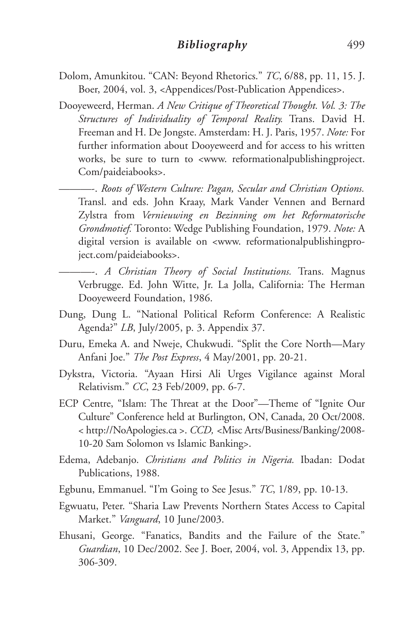- Dolom, Amunkitou. "CAN: Beyond Rhetorics." *TC*, 6/88, pp. 11, 15. J. Boer, 2004, vol. 3, <Appendices/Post-Publication Appendices>.
- Dooyeweerd, Herman. *A New Critique of Theoretical Thought. Vol. 3: The Structures of Individuality of Temporal Reality.* Trans. David H. Freeman and H. De Jongste. Amsterdam: H. J. Paris, 1957. *Note:* For further information about Dooyeweerd and for access to his written works, be sure to turn to <www. reformationalpublishingproject. Com/paideiabooks>.
	- ———-. *Roots of Western Culture: Pagan, Secular and Christian Options.* Transl. and eds. John Kraay, Mark Vander Vennen and Bernard Zylstra from *Vernieuwing en Bezinning om het Reformatorische Grondmotief.* Toronto: Wedge Publishing Foundation, 1979. *Note:* A digital version is available on <www. reformationalpublishingproject.com/paideiabooks>.
	- ———-. *A Christian Theory of Social Institutions.* Trans. Magnus Verbrugge. Ed. John Witte, Jr. La Jolla, California: The Herman Dooyeweerd Foundation, 1986.
- Dung, Dung L. "National Political Reform Conference: A Realistic Agenda?" *LB*, July/2005, p. 3. Appendix 37.
- Duru, Emeka A. and Nweje, Chukwudi. "Split the Core North—Mary Anfani Joe." *The Post Express*, 4 May/2001, pp. 20-21.
- Dykstra, Victoria. "Ayaan Hirsi Ali Urges Vigilance against Moral Relativism." *CC*, 23 Feb/2009, pp. 6-7.
- ECP Centre, "Islam: The Threat at the Door"—Theme of "Ignite Our Culture" Conference held at Burlington, ON, Canada, 20 Oct/2008. < http://NoApologies.ca >. *CCD, <*Misc Arts/Business/Banking/2008- 10-20 Sam Solomon vs Islamic Banking>.
- Edema, Adebanjo. *Christians and Politics in Nigeria.* Ibadan: Dodat Publications, 1988.
- Egbunu, Emmanuel. "I'm Going to See Jesus." *TC*, 1/89, pp. 10-13.
- Egwuatu, Peter. "Sharia Law Prevents Northern States Access to Capital Market." *Vanguard*, 10 June/2003.
- Ehusani, George. "Fanatics, Bandits and the Failure of the State." *Guardian*, 10 Dec/2002. See J. Boer, 2004, vol. 3, Appendix 13, pp. 306-309.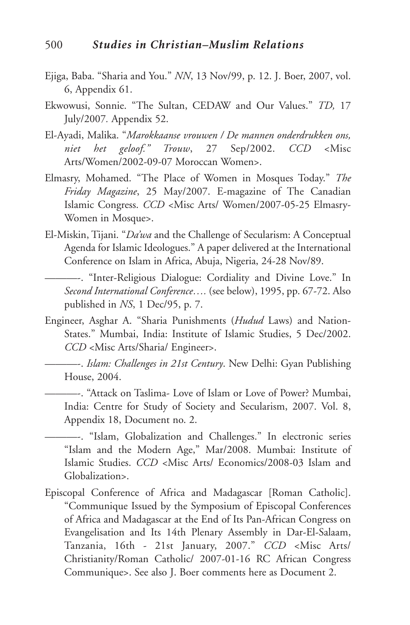- Ejiga, Baba. "Sharia and You." *NN*, 13 Nov/99, p. 12. J. Boer, 2007, vol. 6, Appendix 61.
- Ekwowusi, Sonnie. "The Sultan, CEDAW and Our Values." *TD,* 17 July/2007*.* Appendix 52.
- El-Ayadi, Malika. "*Marokkaanse vrouwen / De mannen onderdrukken ons, niet het geloof." Trouw*, 27 Sep/2002. *CCD* <Misc Arts/Women/2002-09-07 Moroccan Women>.
- Elmasry, Mohamed. "The Place of Women in Mosques Today." *The Friday Magazine*, 25 May/2007. E-magazine of The Canadian Islamic Congress. *CCD* <Misc Arts/ Women/2007-05-25 Elmasry-Women in Mosque>.
- El-Miskin, Tijani. "*Da'wa* and the Challenge of Secularism: A Conceptual Agenda for Islamic Ideologues." A paper delivered at the International Conference on Islam in Africa, Abuja, Nigeria, 24-28 Nov/89.
- ———-. "Inter-Religious Dialogue: Cordiality and Divine Love." In *Second International Conference….* (see below), 1995, pp. 67-72. Also published in *NS*, 1 Dec/95, p. 7.
- Engineer, Asghar A. "Sharia Punishments (*Hudud* Laws) and Nation-States." Mumbai, India: Institute of Islamic Studies, 5 Dec/2002. *CCD* <Misc Arts/Sharia/ Engineer>.
- ———-. *Islam: Challenges in 21st Century*. New Delhi: Gyan Publishing House, 2004.
	- ———-. "Attack on Taslima- Love of Islam or Love of Power? Mumbai, India: Centre for Study of Society and Secularism, 2007. Vol. 8, Appendix 18, Document no. 2.

———-. "Islam, Globalization and Challenges." In electronic series "Islam and the Modern Age," Mar/2008. Mumbai: Institute of Islamic Studies. *CCD* <Misc Arts/ Economics/2008-03 Islam and Globalization>.

Episcopal Conference of Africa and Madagascar [Roman Catholic]. "Communique Issued by the Symposium of Episcopal Conferences of Africa and Madagascar at the End of Its Pan-African Congress on Evangelisation and Its 14th Plenary Assembly in Dar-El-Salaam, Tanzania, 16th - 21st January, 2007." *CCD* <Misc Arts/ Christianity/Roman Catholic/ 2007-01-16 RC African Congress Communique>. See also J. Boer comments here as Document 2.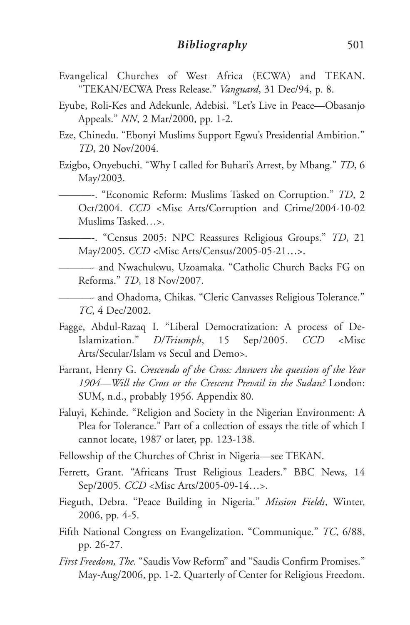- Evangelical Churches of West Africa (ECWA) and TEKAN. "TEKAN/ECWA Press Release." *Vanguard*, 31 Dec/94, p. 8.
- Eyube, Roli-Kes and Adekunle, Adebisi. "Let's Live in Peace—Obasanjo Appeals." *NN*, 2 Mar/2000, pp. 1-2.
- Eze, Chinedu. "Ebonyi Muslims Support Egwu's Presidential Ambition." *TD*, 20 Nov/2004.
- Ezigbo, Onyebuchi. "Why I called for Buhari's Arrest, by Mbang." *TD*, 6 May/2003.
	- ———-. "Economic Reform: Muslims Tasked on Corruption." *TD*, 2 Oct/2004. *CCD* <Misc Arts/Corruption and Crime/2004-10-02 Muslims Tasked…>.
	- ———-. "Census 2005: NPC Reassures Religious Groups." *TD*, 21 May/2005. *CCD* <Misc Arts/Census/2005-05-21…>.
	- ———- and Nwachukwu, Uzoamaka. "Catholic Church Backs FG on Reforms." *TD*, 18 Nov/2007.
	- ———- and Ohadoma, Chikas. "Cleric Canvasses Religious Tolerance." *TC*, 4 Dec/2002.
- Fagge, Abdul-Razaq I. "Liberal Democratization: A process of De-Islamization." *D/Triumph*, 15 Sep/2005. *CCD* <Misc Arts/Secular/Islam vs Secul and Demo>.
- Farrant, Henry G. *Crescendo of the Cross: Answers the question of the Year 1904—Will the Cross or the Crescent Prevail in the Sudan?* London: SUM, n.d., probably 1956. Appendix 80.
- Faluyi, Kehinde. "Religion and Society in the Nigerian Environment: A Plea for Tolerance." Part of a collection of essays the title of which I cannot locate, 1987 or later, pp. 123-138.
- Fellowship of the Churches of Christ in Nigeria—see TEKAN.
- Ferrett, Grant. "Africans Trust Religious Leaders." BBC News, 14 Sep/2005. *CCD* <Misc Arts/2005-09-14…>.
- Fieguth, Debra. "Peace Building in Nigeria." *Mission Fields*, Winter, 2006, pp. 4-5.
- Fifth National Congress on Evangelization. "Communique." *TC*, 6/88, pp. 26-27.
- *First Freedom, The.* "Saudis Vow Reform" and "Saudis Confirm Promises." May-Aug/2006, pp. 1-2. Quarterly of Center for Religious Freedom.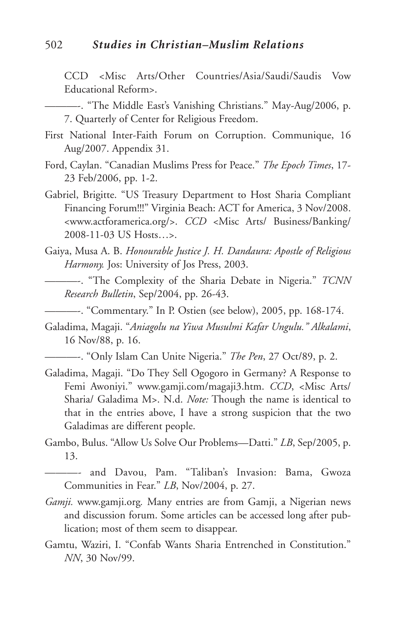#### 502 *Studies in Christian–Muslim Relations*

CCD <Misc Arts/Other Countries/Asia/Saudi/Saudis Vow Educational Reform>.

- First National Inter-Faith Forum on Corruption. Communique, 16 Aug/2007. Appendix 31.
- Ford, Caylan. "Canadian Muslims Press for Peace." *The Epoch Times*, 17- 23 Feb/2006, pp. 1-2.
- Gabriel, Brigitte. "US Treasury Department to Host Sharia Compliant Financing Forum!!!" Virginia Beach: ACT for America, 3 Nov/2008. <www.actforamerica.org/>. *CCD* <Misc Arts/ Business/Banking/ 2008-11-03 US Hosts…>.
- Gaiya, Musa A. B. *Honourable Justice J. H. Dandaura: Apostle of Religious Harmony.* Jos: University of Jos Press, 2003.
- ———-. "The Complexity of the Sharia Debate in Nigeria." *TCNN Research Bulletin*, Sep/2004, pp. 26-43.
	- ———-. "Commentary." In P. Ostien (see below), 2005, pp. 168-174.
- Galadima, Magaji. "*Aniagolu na Yiwa Musulmi Kafar Ungulu." Alkalami*, 16 Nov/88, p. 16.
	- ———-. "Only Islam Can Unite Nigeria." *The Pen*, 27 Oct/89, p. 2.
- Galadima, Magaji. "Do They Sell Ogogoro in Germany? A Response to Femi Awoniyi." www.gamji.com/magaji3.htm. *CCD*, <Misc Arts/ Sharia/ Galadima M>. N.d. *Note:* Though the name is identical to that in the entries above, I have a strong suspicion that the two Galadimas are different people.
- Gambo, Bulus. "Allow Us Solve Our Problems—Datti." *LB*, Sep/2005, p. 13.

———- and Davou, Pam. "Taliban's Invasion: Bama, Gwoza Communities in Fear." *LB*, Nov/2004, p. 27.

- *Gamji.* www.gamji.org*.* Many entries are from Gamji, a Nigerian news and discussion forum. Some articles can be accessed long after publication; most of them seem to disappear.
- Gamtu, Waziri, I. "Confab Wants Sharia Entrenched in Constitution." *NN*, 30 Nov/99.

<sup>———-.</sup> "The Middle East's Vanishing Christians." May-Aug/2006, p. 7. Quarterly of Center for Religious Freedom.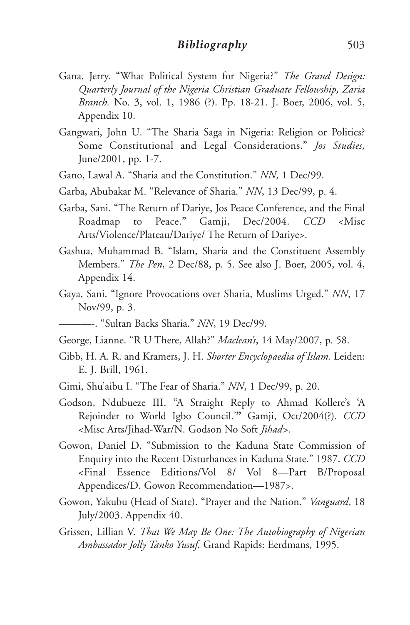- Gana, Jerry. "What Political System for Nigeria?" *The Grand Design: Quarterly Journal of the Nigeria Christian Graduate Fellowship, Zaria Branch.* No. 3, vol. 1, 1986 (?). Pp. 18-21. J. Boer, 2006, vol. 5, Appendix 10.
- Gangwari, John U. "The Sharia Saga in Nigeria: Religion or Politics? Some Constitutional and Legal Considerations." *Jos Studies,* June/2001, pp. 1-7.
- Gano, Lawal A. "Sharia and the Constitution." *NN*, 1 Dec/99.
- Garba, Abubakar M. "Relevance of Sharia." *NN*, 13 Dec/99, p. 4.
- Garba, Sani. "The Return of Dariye, Jos Peace Conference, and the Final Roadmap to Peace." Gamji, Dec/2004. *CCD* <Misc Arts/Violence/Plateau/Dariye/ The Return of Dariye>.
- Gashua, Muhammad B. "Islam, Sharia and the Constituent Assembly Members." *The Pen*, 2 Dec/88, p. 5. See also J. Boer, 2005, vol. 4, Appendix 14.
- Gaya, Sani. "Ignore Provocations over Sharia, Muslims Urged." *NN*, 17 Nov/99, p. 3.
	- ———-. "Sultan Backs Sharia." *NN*, 19 Dec/99.
- George, Lianne. "R U There, Allah?" *Maclean's*, 14 May/2007, p. 58.
- Gibb, H. A. R. and Kramers, J. H. *Shorter Encyclopaedia of Islam.* Leiden: E. J. Brill, 1961.
- Gimi, Shu'aibu I. "The Fear of Sharia." *NN*, 1 Dec/99, p. 20.
- Godson, Ndubueze III. "A Straight Reply to Ahmad Kollere's 'A Rejoinder to World Igbo Council.'**"** Gamji, Oct/2004(?). *CCD* <Misc Arts/Jihad-War/N. Godson No Soft *Jihad>.*
- Gowon, Daniel D. "Submission to the Kaduna State Commission of Enquiry into the Recent Disturbances in Kaduna State." 1987. *CCD* <Final Essence Editions/Vol 8/ Vol 8—Part B/Proposal Appendices/D. Gowon Recommendation—1987>.
- Gowon, Yakubu (Head of State). "Prayer and the Nation." *Vanguard*, 18 July/2003. Appendix 40.
- Grissen, Lillian V. *That We May Be One: The Autobiography of Nigerian Ambassador Jolly Tanko Yusuf.* Grand Rapids: Eerdmans, 1995.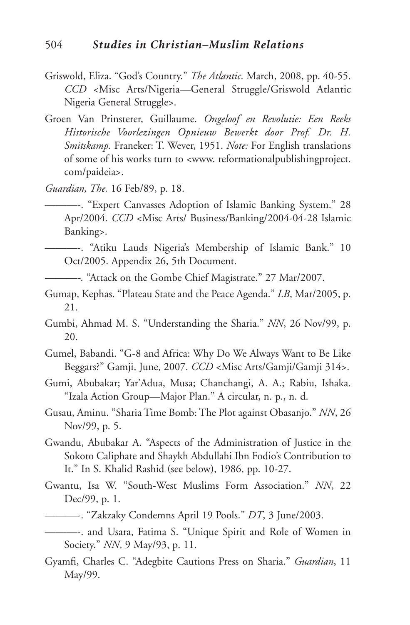- Griswold, Eliza. "God's Country." *The Atlantic.* March, 2008, pp. 40-55. *CCD* <Misc Arts/Nigeria—General Struggle/Griswold Atlantic Nigeria General Struggle>.
- Groen Van Prinsterer, Guillaume. *Ongeloof en Revolutie: Een Reeks Historische Voorlezingen Opnieuw Bewerkt door Prof. Dr. H. Smitskamp.* Franeker: T. Wever, 1951. *Note:* For English translations of some of his works turn to <www. reformationalpublishingproject. com/paideia>.
- *Guardian, The.* 16 Feb/89, p. 18.
	- ———-. "Expert Canvasses Adoption of Islamic Banking System." 28 Apr/2004. *CCD* <Misc Arts/ Business/Banking/2004-04-28 Islamic Banking>.
- ———-. "Atiku Lauds Nigeria's Membership of Islamic Bank." 10 Oct/2005. Appendix 26, 5th Document.
- *———-.* "Attack on the Gombe Chief Magistrate." 27 Mar/2007.
- Gumap, Kephas. "Plateau State and the Peace Agenda." *LB*, Mar/2005, p. 21.
- Gumbi, Ahmad M. S. "Understanding the Sharia." *NN*, 26 Nov/99, p. 20.
- Gumel, Babandi. "G-8 and Africa: Why Do We Always Want to Be Like Beggars?" Gamji, June, 2007. *CCD* <Misc Arts/Gamji/Gamji 314>.
- Gumi, Abubakar; Yar'Adua, Musa; Chanchangi, A. A.; Rabiu, Ishaka. "Izala Action Group—Major Plan." A circular, n. p., n. d.
- Gusau, Aminu. "Sharia Time Bomb: The Plot against Obasanjo." *NN*, 26 Nov/99, p. 5.
- Gwandu, Abubakar A. "Aspects of the Administration of Justice in the Sokoto Caliphate and Shaykh Abdullahi Ibn Fodio's Contribution to It." In S. Khalid Rashid (see below), 1986, pp. 10-27.
- Gwantu, Isa W. "South-West Muslims Form Association." *NN*, 22 Dec/99, p. 1.
- ———-. "Zakzaky Condemns April 19 Pools." *DT*, 3 June/2003.
- ———-. and Usara, Fatima S. "Unique Spirit and Role of Women in Society." *NN*, 9 May/93, p. 11.
- Gyamfi, Charles C. "Adegbite Cautions Press on Sharia." *Guardian*, 11 May/99.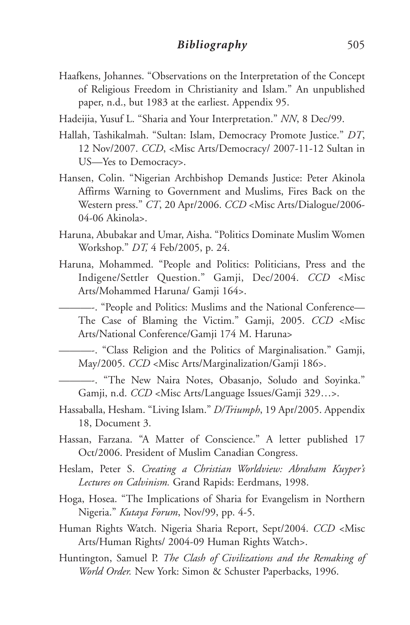Haafkens, Johannes. "Observations on the Interpretation of the Concept of Religious Freedom in Christianity and Islam." An unpublished paper, n.d., but 1983 at the earliest. Appendix 95.

Hadeijia, Yusuf L. "Sharia and Your Interpretation." *NN*, 8 Dec/99.

- Hallah, Tashikalmah. "Sultan: Islam, Democracy Promote Justice." *DT*, 12 Nov/2007. *CCD*, <Misc Arts/Democracy/ 2007-11-12 Sultan in US—Yes to Democracy>.
- Hansen, Colin. "Nigerian Archbishop Demands Justice: Peter Akinola Affirms Warning to Government and Muslims, Fires Back on the Western press." *CT*, 20 Apr/2006. *CCD* <Misc Arts/Dialogue/2006- 04-06 Akinola>.
- Haruna, Abubakar and Umar, Aisha. "Politics Dominate Muslim Women Workshop." *DT,* 4 Feb/2005, p. 24.
- Haruna, Mohammed. "People and Politics: Politicians, Press and the Indigene/Settler Question." Gamji, Dec/2004. *CCD* <Misc Arts/Mohammed Haruna/ Gamji 164>.
	- ———-. "People and Politics: Muslims and the National Conference— The Case of Blaming the Victim." Gamji, 2005. *CCD* <Misc Arts/National Conference/Gamji 174 M. Haruna>

———-. "Class Religion and the Politics of Marginalisation." Gamji, May/2005. *CCD* <Misc Arts/Marginalization/Gamji 186>.

———-. "The New Naira Notes, Obasanjo, Soludo and Soyinka." Gamji, n.d. *CCD* <Misc Arts/Language Issues/Gamji 329…>.

- Hassaballa, Hesham. "Living Islam." *D/Triumph*, 19 Apr/2005. Appendix 18, Document 3.
- Hassan, Farzana. "A Matter of Conscience." A letter published 17 Oct/2006. President of Muslim Canadian Congress.
- Heslam, Peter S. *Creating a Christian Worldview: Abraham Kuyper's Lectures on Calvinism.* Grand Rapids: Eerdmans, 1998.
- Hoga, Hosea. "The Implications of Sharia for Evangelism in Northern Nigeria." *Kutaya Forum*, Nov/99, pp. 4-5.
- Human Rights Watch. Nigeria Sharia Report, Sept/2004. *CCD* <Misc Arts/Human Rights/ 2004-09 Human Rights Watch>.
- Huntington, Samuel P. *The Clash of Civilizations and the Remaking of World Order.* New York: Simon & Schuster Paperbacks, 1996.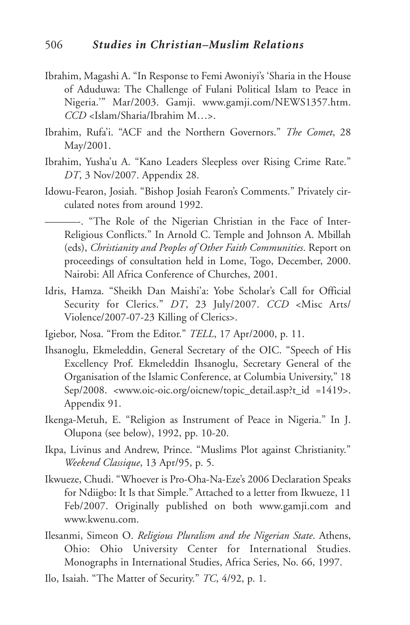- Ibrahim, Magashi A. "In Response to Femi Awoniyi's 'Sharia in the House of Aduduwa: The Challenge of Fulani Political Islam to Peace in Nigeria.'" Mar/2003. Gamji. www.gamji.com/NEWS1357.htm. *CCD* <Islam/Sharia/Ibrahim M…>.
- Ibrahim, Rufa'i. "ACF and the Northern Governors." *The Comet*, 28 May/2001.
- Ibrahim, Yusha'u A. "Kano Leaders Sleepless over Rising Crime Rate." *DT*, 3 Nov/2007. Appendix 28.
- Idowu-Fearon, Josiah. "Bishop Josiah Fearon's Comments." Privately circulated notes from around 1992.
	- ———-. "The Role of the Nigerian Christian in the Face of Inter-Religious Conflicts." In Arnold C. Temple and Johnson A. Mbillah (eds), *Christianity and Peoples of Other Faith Communities*. Report on proceedings of consultation held in Lome, Togo, December, 2000. Nairobi: All Africa Conference of Churches, 2001.
- Idris, Hamza. "Sheikh Dan Maishi'a: Yobe Scholar's Call for Official Security for Clerics." *DT*, 23 July/2007. *CCD* <Misc Arts/ Violence/2007-07-23 Killing of Clerics>.
- Igiebor, Nosa. "From the Editor." *TELL*, 17 Apr/2000, p. 11.
- Ihsanoglu, Ekmeleddin, General Secretary of the OIC. "Speech of His Excellency Prof. Ekmeleddin Ihsanoglu, Secretary General of the Organisation of the Islamic Conference, at Columbia University," 18 Sep/2008. <www.oic-oic.org/oicnew/topic\_detail.asp?t\_id =1419>. Appendix 91.
- Ikenga-Metuh, E. "Religion as Instrument of Peace in Nigeria." In J. Olupona (see below), 1992, pp. 10-20.
- Ikpa, Livinus and Andrew, Prince. "Muslims Plot against Christianity." *Weekend Classique*, 13 Apr/95, p. 5.
- Ikwueze, Chudi. "Whoever is Pro-Oha-Na-Eze's 2006 Declaration Speaks for Ndiigbo: It Is that Simple." Attached to a letter from Ikwueze, 11 Feb/2007. Originally published on both www.gamji.com and www.kwenu.com.
- Ilesanmi, Simeon O. *Religious Pluralism and the Nigerian State*. Athens, Ohio: Ohio University Center for International Studies. Monographs in International Studies, Africa Series, No. 66, 1997.
- Ilo, Isaiah. "The Matter of Security." *TC*, 4/92, p. 1.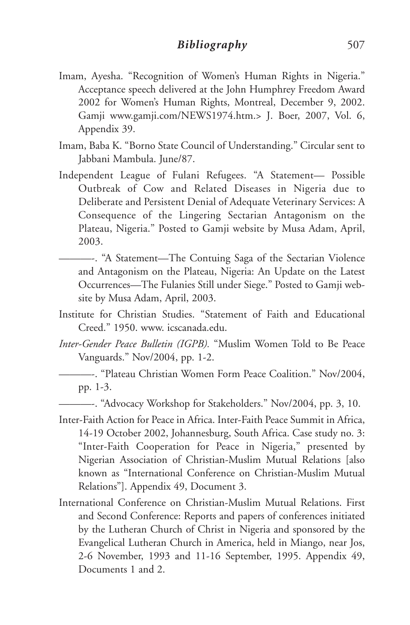- Imam, Ayesha. "Recognition of Women's Human Rights in Nigeria." Acceptance speech delivered at the John Humphrey Freedom Award 2002 for Women's Human Rights, Montreal, December 9, 2002. Gamji www.gamji.com/NEWS1974.htm.> J. Boer, 2007, Vol. 6, Appendix 39.
- Imam, Baba K. "Borno State Council of Understanding." Circular sent to Jabbani Mambula. June/87.
- Independent League of Fulani Refugees. "A Statement— Possible Outbreak of Cow and Related Diseases in Nigeria due to Deliberate and Persistent Denial of Adequate Veterinary Services: A Consequence of the Lingering Sectarian Antagonism on the Plateau, Nigeria." Posted to Gamji website by Musa Adam, April, 2003.
	- ———-. "A Statement—The Contuing Saga of the Sectarian Violence and Antagonism on the Plateau, Nigeria: An Update on the Latest Occurrences—The Fulanies Still under Siege." Posted to Gamji website by Musa Adam, April, 2003.
- Institute for Christian Studies. "Statement of Faith and Educational Creed." 1950. www. icscanada.edu.
- *Inter-Gender Peace Bulletin (IGPB).* "Muslim Women Told to Be Peace Vanguards." Nov/2004, pp. 1-2.
	- ———-. "Plateau Christian Women Form Peace Coalition." Nov/2004, pp. 1-3.
	- ———-. "Advocacy Workshop for Stakeholders." Nov/2004, pp. 3, 10.
- Inter-Faith Action for Peace in Africa. Inter-Faith Peace Summit in Africa, 14-19 October 2002, Johannesburg, South Africa. Case study no. 3: "Inter-Faith Cooperation for Peace in Nigeria," presented by Nigerian Association of Christian-Muslim Mutual Relations [also known as "International Conference on Christian-Muslim Mutual Relations"]. Appendix 49, Document 3.
- International Conference on Christian-Muslim Mutual Relations. First and Second Conference: Reports and papers of conferences initiated by the Lutheran Church of Christ in Nigeria and sponsored by the Evangelical Lutheran Church in America, held in Miango, near Jos, 2-6 November, 1993 and 11-16 September, 1995. Appendix 49, Documents 1 and 2.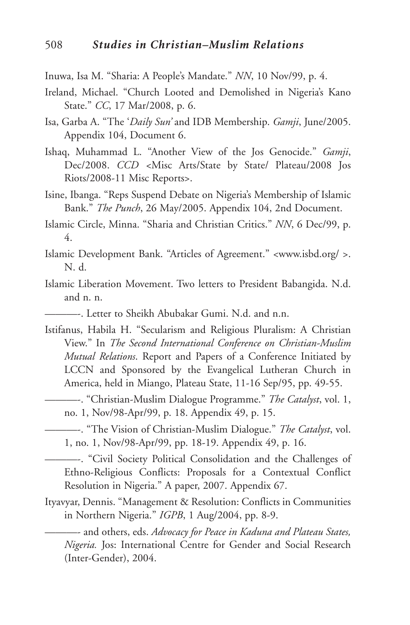- Inuwa, Isa M. "Sharia: A People's Mandate." *NN*, 10 Nov/99, p. 4.
- Ireland, Michael. "Church Looted and Demolished in Nigeria's Kano State." *CC*, 17 Mar/2008, p. 6.
- Isa, Garba A. "The '*Daily Sun'* and IDB Membership. *Gamji*, June/2005. Appendix 104, Document 6.
- Ishaq, Muhammad L. "Another View of the Jos Genocide." *Gamji*, Dec/2008. *CCD <*Misc Arts/State by State/ Plateau/2008 Jos Riots/2008-11 Misc Reports>.
- Isine, Ibanga. "Reps Suspend Debate on Nigeria's Membership of Islamic Bank." *The Punch*, 26 May/2005. Appendix 104, 2nd Document.
- Islamic Circle, Minna. "Sharia and Christian Critics." *NN*, 6 Dec/99, p. 4.
- Islamic Development Bank. "Articles of Agreement." <www.isbd.org/ >. N. d.
- Islamic Liberation Movement. Two letters to President Babangida. N.d. and n. n.
	- ———-. Letter to Sheikh Abubakar Gumi. N.d. and n.n.
- Istifanus, Habila H. "Secularism and Religious Pluralism: A Christian View." In *The Second International Conference on Christian-Muslim Mutual Relations*. Report and Papers of a Conference Initiated by LCCN and Sponsored by the Evangelical Lutheran Church in America, held in Miango, Plateau State, 11-16 Sep/95, pp. 49-55.
	- ———-. "Christian-Muslim Dialogue Programme." *The Catalyst*, vol. 1, no. 1, Nov/98-Apr/99, p. 18. Appendix 49, p. 15.
- ———-. "The Vision of Christian-Muslim Dialogue." *The Catalyst*, vol. 1, no. 1, Nov/98-Apr/99, pp. 18-19. Appendix 49, p. 16.

———-. "Civil Society Political Consolidation and the Challenges of Ethno-Religious Conflicts: Proposals for a Contextual Conflict Resolution in Nigeria." A paper, 2007. Appendix 67.

Ityavyar, Dennis. "Management & Resolution: Conflicts in Communities in Northern Nigeria." *IGPB*, 1 Aug/2004, pp. 8-9.

———- and others, eds. *Advocacy for Peace in Kaduna and Plateau States, Nigeria.* Jos: International Centre for Gender and Social Research (Inter-Gender), 2004.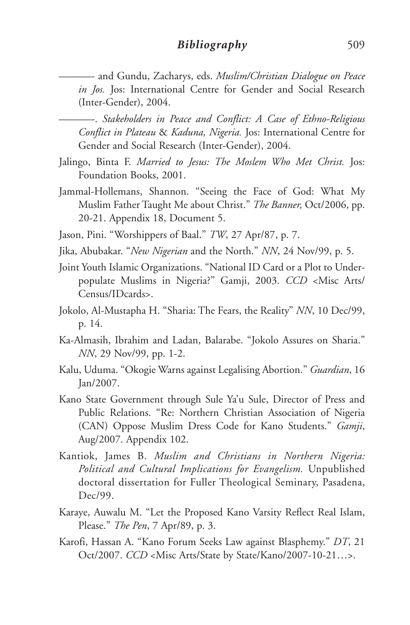———- and Gundu, Zacharys, eds. *Muslim/Christian Dialogue on Peace in Jos.* Jos: International Centre for Gender and Social Research (Inter-Gender), 2004.

———-. *Stakeholders in Peace and Conflict: A Case of Ethno-Religious Conflict in Plateau* & *Kaduna, Nigeria.* Jos: International Centre for Gender and Social Research (Inter-Gender), 2004.

- Jalingo, Binta F. *Married to Jesus: The Moslem Who Met Christ.* Jos: Foundation Books, 2001.
- Jammal-Hollemans, Shannon. "Seeing the Face of God: What My Muslim Father Taught Me about Christ." *The Banner,* Oct/2006, pp. 20-21. Appendix 18, Document 5.
- Jason, Pini. "Worshippers of Baal." *TW*, 27 Apr/87, p. 7.
- Jika, Abubakar. "*New Nigerian* and the North." *NN*, 24 Nov/99, p. 5.
- Joint Youth Islamic Organizations. "National ID Card or a Plot to Underpopulate Muslims in Nigeria?" Gamji, 2003. *CCD* <Misc Arts/ Census/IDcards>.
- Jokolo, Al-Mustapha H. "Sharia: The Fears, the Reality" *NN*, 10 Dec/99, p. 14.
- Ka-Almasih, Ibrahim and Ladan, Balarabe. "Jokolo Assures on Sharia." *NN*, 29 Nov/99, pp. 1-2.
- Kalu, Uduma. "Okogie Warns against Legalising Abortion." *Guardian*, 16 Jan/2007.
- Kano State Government through Sule Ya'u Sule, Director of Press and Public Relations. "Re: Northern Christian Association of Nigeria (CAN) Oppose Muslim Dress Code for Kano Students." *Gamji*, Aug/2007. Appendix 102.
- Kantiok, James B. *Muslim and Christians in Northern Nigeria: Political and Cultural Implications for Evangelism.* Unpublished doctoral dissertation for Fuller Theological Seminary, Pasadena, Dec/99.
- Karaye, Auwalu M. "Let the Proposed Kano Varsity Reflect Real Islam, Please." *The Pen*, 7 Apr/89, p. 3.
- Karofi, Hassan A. "Kano Forum Seeks Law against Blasphemy." *DT*, 21 Oct/2007. *CCD* <Misc Arts/State by State/Kano/2007-10-21…>.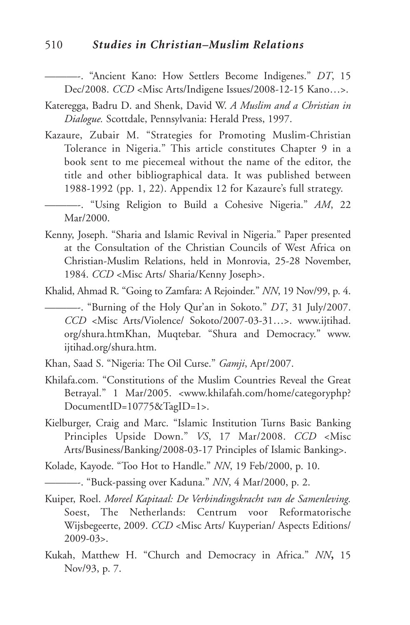#### 510 *Studies in Christian–Muslim Relations*

———-. "Ancient Kano: How Settlers Become Indigenes." *DT*, 15 Dec/2008. *CCD* <Misc Arts/Indigene Issues/2008-12-15 Kano…>.

- Kateregga, Badru D. and Shenk, David W. *A Muslim and a Christian in Dialogue.* Scottdale, Pennsylvania: Herald Press, 1997.
- Kazaure, Zubair M. "Strategies for Promoting Muslim-Christian Tolerance in Nigeria." This article constitutes Chapter 9 in a book sent to me piecemeal without the name of the editor, the title and other bibliographical data. It was published between 1988-1992 (pp. 1, 22). Appendix 12 for Kazaure's full strategy.

———-. "Using Religion to Build a Cohesive Nigeria." *AM*, 22 Mar/2000.

Kenny, Joseph. "Sharia and Islamic Revival in Nigeria." Paper presented at the Consultation of the Christian Councils of West Africa on Christian-Muslim Relations, held in Monrovia, 25-28 November, 1984. *CCD* <Misc Arts/ Sharia/Kenny Joseph>.

Khalid, Ahmad R. "Going to Zamfara: A Rejoinder." *NN*, 19 Nov/99, p. 4.

- ———-. "Burning of the Holy Qur'an in Sokoto." *DT*, 31 July/2007. *CCD* <Misc Arts/Violence/ Sokoto/2007-03-31…>. www.ijtihad. org/shura.htmKhan, Muqtebar. "Shura and Democracy." www. ijtihad.org/shura.htm.
- Khan, Saad S. "Nigeria: The Oil Curse." *Gamji*, Apr/2007.
- Khilafa.com. "Constitutions of the Muslim Countries Reveal the Great Betrayal." 1 Mar/2005. <www.khilafah.com/home/categoryphp? DocumentID=10775&TagID=1>.
- Kielburger, Craig and Marc. "Islamic Institution Turns Basic Banking Principles Upside Down." *VS*, 17 Mar/2008. *CCD* <Misc Arts/Business/Banking/2008-03-17 Principles of Islamic Banking>.

Kolade, Kayode. "Too Hot to Handle." *NN*, 19 Feb/2000, p. 10.

———-. "Buck-passing over Kaduna." *NN*, 4 Mar/2000, p. 2.

- Kuiper, Roel. *Moreel Kapitaal: De Verbindingskracht van de Samenleving.* Soest, The Netherlands: Centrum voor Reformatorische Wijsbegeerte, 2009. *CCD* <Misc Arts/ Kuyperian/ Aspects Editions/ 2009-03>.
- Kukah, Matthew H. "Church and Democracy in Africa." *NN***,** 15 Nov/93, p. 7.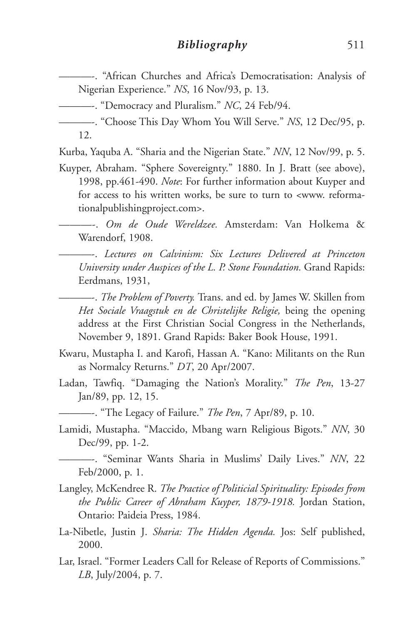———-. "African Churches and Africa's Democratisation: Analysis of Nigerian Experience." *NS*, 16 Nov/93, p. 13.

———-. "Democracy and Pluralism." *NC*, 24 Feb/94.

Kurba, Yaquba A. "Sharia and the Nigerian State." *NN*, 12 Nov/99, p. 5.

Kuyper, Abraham. "Sphere Sovereignty." 1880. In J. Bratt (see above), 1998, pp.461-490. *Note*: For further information about Kuyper and for access to his written works, be sure to turn to <www. reformationalpublishingproject.com>.

———-. *Om de Oude Wereldzee.* Amsterdam: Van Holkema & Warendorf, 1908.

———-. *Lectures on Calvinism: Six Lectures Delivered at Princeton University under Auspices of the L. P. Stone Foundation.* Grand Rapids: Eerdmans, 1931,

———-. *The Problem of Poverty.* Trans. and ed. by James W. Skillen from *Het Sociale Vraagstuk en de Christelijke Religie,* being the opening address at the First Christian Social Congress in the Netherlands, November 9, 1891. Grand Rapids: Baker Book House, 1991.

- Kwaru, Mustapha I. and Karofi, Hassan A. "Kano: Militants on the Run as Normalcy Returns." *DT*, 20 Apr/2007.
- Ladan, Tawfiq. "Damaging the Nation's Morality." *The Pen*, 13-27 Jan/89, pp. 12, 15.

———-. "The Legacy of Failure." *The Pen*, 7 Apr/89, p. 10.

Lamidi, Mustapha. "Maccido, Mbang warn Religious Bigots." *NN*, 30 Dec/99, pp. 1-2.

———-. "Seminar Wants Sharia in Muslims' Daily Lives." *NN*, 22 Feb/2000, p. 1.

- Langley, McKendree R. *The Practice of Politicial Spirituality: Episodes from the Public Career of Abraham Kuyper, 1879-1918.* Jordan Station, Ontario: Paideia Press, 1984.
- La-Nibetle, Justin J. *Sharia: The Hidden Agenda.* Jos: Self published, 2000.
- Lar, Israel. "Former Leaders Call for Release of Reports of Commissions." *LB*, July/2004, p. 7.

<sup>———-.</sup> "Choose This Day Whom You Will Serve." *NS*, 12 Dec/95, p. 12.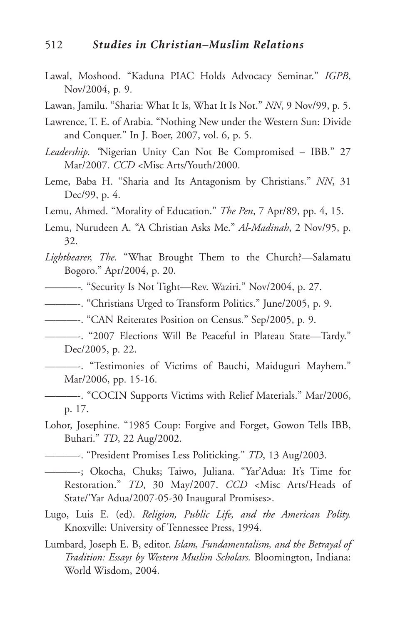- Lawal, Moshood. "Kaduna PIAC Holds Advocacy Seminar." *IGPB*, Nov/2004, p. 9.
- Lawan, Jamilu. "Sharia: What It Is, What It Is Not." *NN*, 9 Nov/99, p. 5.
- Lawrence, T. E. of Arabia. "Nothing New under the Western Sun: Divide and Conquer." In J. Boer, 2007, vol. 6, p. 5.
- *Leadership. "*Nigerian Unity Can Not Be Compromised IBB." 27 Mar/2007. *CCD* <Misc Arts/Youth/2000.
- Leme, Baba H. "Sharia and Its Antagonism by Christians." *NN*, 31 Dec/99, p. 4.
- Lemu, Ahmed. "Morality of Education." *The Pen*, 7 Apr/89, pp. 4, 15.
- Lemu, Nurudeen A. "A Christian Asks Me." *Al-Madinah*, 2 Nov/95, p. 32.
- *Lightbearer, The.* "What Brought Them to the Church?—Salamatu Bogoro." Apr/2004, p. 20.
- *———-.* "Security Is Not Tight—Rev. Waziri." Nov/2004, p. 27.
- ———-. "Christians Urged to Transform Politics." June/2005, p. 9.
- ———-. "CAN Reiterates Position on Census." Sep/2005, p. 9.
- ———-. "2007 Elections Will Be Peaceful in Plateau State—Tardy." Dec/2005, p. 22.
	- ———-. "Testimonies of Victims of Bauchi, Maiduguri Mayhem." Mar/2006, pp. 15-16.
- ———-. "COCIN Supports Victims with Relief Materials." Mar/2006, p. 17.
- Lohor, Josephine. "1985 Coup: Forgive and Forget, Gowon Tells IBB, Buhari." *TD*, 22 Aug/2002.
- ———-. "President Promises Less Politicking." *TD*, 13 Aug/2003.
- ———-; Okocha, Chuks; Taiwo, Juliana. "Yar'Adua: It's Time for Restoration." *TD*, 30 May/2007. *CCD* <Misc Arts/Heads of State/'Yar Adua/2007-05-30 Inaugural Promises>.
- Lugo, Luis E. (ed). *Religion, Public Life, and the American Polity.* Knoxville: University of Tennessee Press, 1994.
- Lumbard, Joseph E. B, editor. *Islam, Fundamentalism, and the Betrayal of Tradition: Essays by Western Muslim Scholars.* Bloomington, Indiana: World Wisdom, 2004.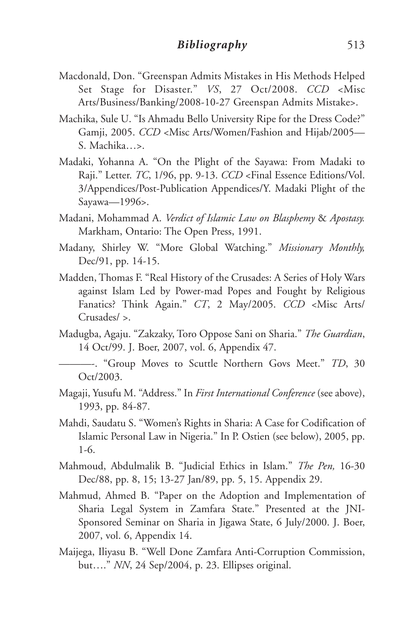- Macdonald, Don. "Greenspan Admits Mistakes in His Methods Helped Set Stage for Disaster." *VS*, 27 Oct/2008. *CCD* <Misc Arts/Business/Banking/2008-10-27 Greenspan Admits Mistake>.
- Machika, Sule U. "Is Ahmadu Bello University Ripe for the Dress Code?" Gamji, 2005. *CCD* <Misc Arts/Women/Fashion and Hijab/2005— S. Machika…>.
- Madaki, Yohanna A. "On the Plight of the Sayawa: From Madaki to Raji." Letter. *TC*, 1/96, pp. 9-13. *CCD* <Final Essence Editions/Vol. 3/Appendices/Post-Publication Appendices/Y. Madaki Plight of the Sayawa—1996>.
- Madani, Mohammad A. *Verdict of Islamic Law on Blasphemy* & *Apostasy.* Markham, Ontario: The Open Press, 1991.
- Madany, Shirley W. "More Global Watching." *Missionary Monthly,* Dec/91, pp. 14-15.
- Madden, Thomas F. "Real History of the Crusades: A Series of Holy Wars against Islam Led by Power-mad Popes and Fought by Religious Fanatics? Think Again." *CT*, 2 May/2005. *CCD* <Misc Arts/ Crusades/ >.
- Madugba, Agaju. "Zakzaky, Toro Oppose Sani on Sharia." *The Guardian*, 14 Oct/99. J. Boer, 2007, vol. 6, Appendix 47.
- ———-. "Group Moves to Scuttle Northern Govs Meet." *TD*, 30 Oct/2003.
- Magaji, Yusufu M. "Address." In *First International Conference* (see above), 1993, pp. 84-87.
- Mahdi, Saudatu S. "Women's Rights in Sharia: A Case for Codification of Islamic Personal Law in Nigeria." In P. Ostien (see below), 2005, pp. 1-6.
- Mahmoud, Abdulmalik B. "Judicial Ethics in Islam." *The Pen,* 16-30 Dec/88, pp. 8, 15; 13-27 Jan/89, pp. 5, 15. Appendix 29.
- Mahmud, Ahmed B. "Paper on the Adoption and Implementation of Sharia Legal System in Zamfara State." Presented at the JNI-Sponsored Seminar on Sharia in Jigawa State, 6 July/2000. J. Boer, 2007, vol. 6, Appendix 14.
- Maijega, Iliyasu B. "Well Done Zamfara Anti-Corruption Commission, but…." *NN*, 24 Sep/2004, p. 23. Ellipses original.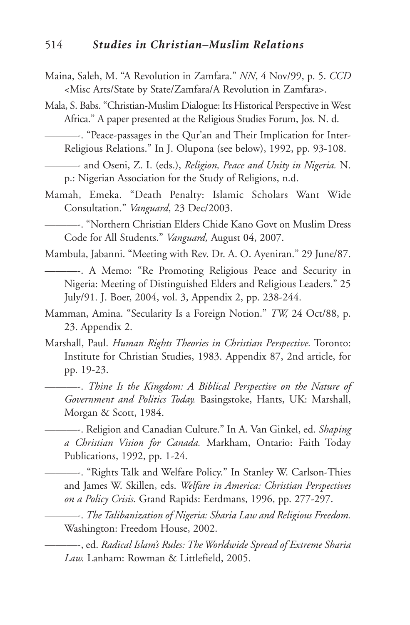Maina, Saleh, M. "A Revolution in Zamfara." *NN*, 4 Nov/99, p. 5. *CCD* <Misc Arts/State by State/Zamfara/A Revolution in Zamfara>.

Mala, S. Babs. "Christian-Muslim Dialogue: Its Historical Perspective in West Africa." A paper presented at the Religious Studies Forum, Jos. N. d.

———-. "Peace-passages in the Qur'an and Their Implication for Inter-Religious Relations." In J. Olupona (see below), 1992, pp. 93-108.

———- and Oseni, Z. I. (eds.), *Religion, Peace and Unity in Nigeria.* N. p.: Nigerian Association for the Study of Religions, n.d.

Mamah, Emeka. "Death Penalty: Islamic Scholars Want Wide Consultation." *Vanguard*, 23 Dec/2003.

———-. "Northern Christian Elders Chide Kano Govt on Muslim Dress Code for All Students." *Vanguard,* August 04, 2007.

Mambula, Jabanni. "Meeting with Rev. Dr. A. O. Ayeniran." 29 June/87.

- ———-. A Memo: "Re Promoting Religious Peace and Security in Nigeria: Meeting of Distinguished Elders and Religious Leaders." 25 July/91. J. Boer, 2004, vol. 3, Appendix 2, pp. 238-244.
- Mamman, Amina. "Secularity Is a Foreign Notion." *TW,* 24 Oct/88, p. 23. Appendix 2.
- Marshall, Paul. *Human Rights Theories in Christian Perspective.* Toronto: Institute for Christian Studies, 1983. Appendix 87, 2nd article, for pp. 19-23.

———-. *Thine Is the Kingdom: A Biblical Perspective on the Nature of Government and Politics Today.* Basingstoke, Hants, UK: Marshall, Morgan & Scott, 1984.

———-. Religion and Canadian Culture." In A. Van Ginkel, ed. *Shaping a Christian Vision for Canada.* Markham, Ontario: Faith Today Publications, 1992, pp. 1-24.

———-. "Rights Talk and Welfare Policy." In Stanley W. Carlson-Thies and James W. Skillen, eds. *Welfare in America: Christian Perspectives on a Policy Crisis.* Grand Rapids: Eerdmans, 1996, pp. 277-297.

———-. *The Talibanization of Nigeria: Sharia Law and Religious Freedom.* Washington: Freedom House, 2002.

———-, ed. *Radical Islam's Rules: The Worldwide Spread of Extreme Sharia Law.* Lanham: Rowman & Littlefield, 2005.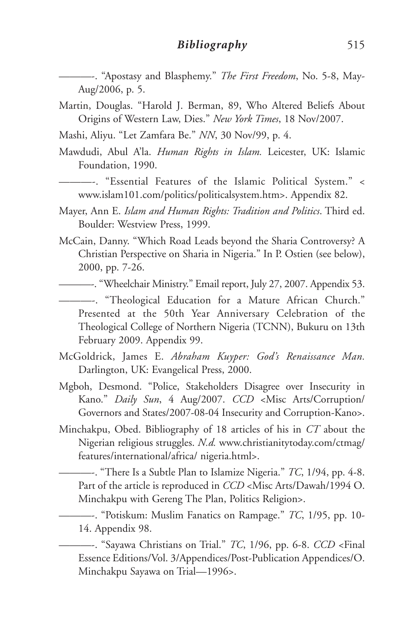———-. "Apostasy and Blasphemy." *The First Freedom*, No. 5-8, May-Aug/2006, p. 5.

- Martin, Douglas. "Harold J. Berman, 89, Who Altered Beliefs About Origins of Western Law, Dies." *New York Times*, 18 Nov/2007.
- Mashi, Aliyu. "Let Zamfara Be." *NN*, 30 Nov/99, p. 4.
- Mawdudi, Abul A'la. *Human Rights in Islam.* Leicester, UK: Islamic Foundation, 1990.

———-. "Essential Features of the Islamic Political System." < www.islam101.com/politics/politicalsystem.htm>. Appendix 82.

- Mayer, Ann E. *Islam and Human Rights: Tradition and Politics*. Third ed. Boulder: Westview Press, 1999.
- McCain, Danny. "Which Road Leads beyond the Sharia Controversy? A Christian Perspective on Sharia in Nigeria." In P. Ostien (see below), 2000, pp. 7-26.

———-. "Wheelchair Ministry." Email report, July 27, 2007. Appendix 53.

———-. "Theological Education for a Mature African Church." Presented at the 50th Year Anniversary Celebration of the Theological College of Northern Nigeria (TCNN), Bukuru on 13th February 2009. Appendix 99.

- McGoldrick, James E. *Abraham Kuyper: God's Renaissance Man.* Darlington, UK: Evangelical Press, 2000.
- Mgboh, Desmond. "Police, Stakeholders Disagree over Insecurity in Kano." *Daily Sun*, 4 Aug/2007. *CCD* <Misc Arts/Corruption/ Governors and States/2007-08-04 Insecurity and Corruption-Kano>.
- Minchakpu, Obed. Bibliography of 18 articles of his in *CT* about the Nigerian religious struggles. *N.d.* www.christianitytoday.com/ctmag/ features/international/africa/ nigeria.html>.

———-. "There Is a Subtle Plan to Islamize Nigeria." *TC*, 1/94, pp. 4-8. Part of the article is reproduced in *CCD* <Misc Arts/Dawah/1994 O. Minchakpu with Gereng The Plan, Politics Religion>.

———-. "Potiskum: Muslim Fanatics on Rampage." *TC*, 1/95, pp. 10- 14. Appendix 98.

———-. "Sayawa Christians on Trial." *TC*, 1/96, pp. 6-8. *CCD* <Final Essence Editions/Vol. 3/Appendices/Post-Publication Appendices/O. Minchakpu Sayawa on Trial—1996>.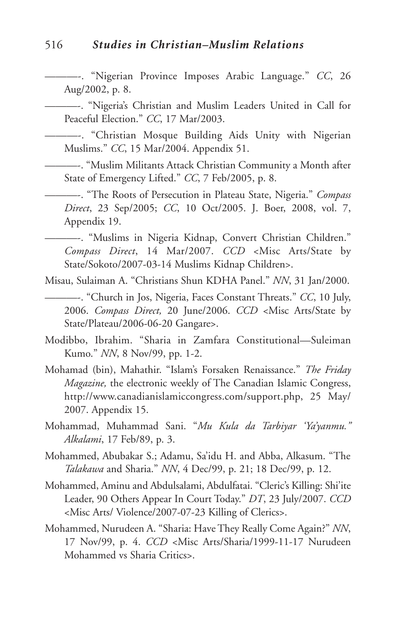#### 516 *Studies in Christian–Muslim Relations*

———-. "Nigerian Province Imposes Arabic Language." *CC*, 26 Aug/2002, p. 8.

———-. "Nigeria's Christian and Muslim Leaders United in Call for Peaceful Election." *CC*, 17 Mar/2003.

———-. "Christian Mosque Building Aids Unity with Nigerian Muslims." *CC*, 15 Mar/2004. Appendix 51.

———-. "Muslim Militants Attack Christian Community a Month after State of Emergency Lifted." *CC*, 7 Feb/2005, p. 8.

———-. "The Roots of Persecution in Plateau State, Nigeria." *Compass Direct*, 23 Sep/2005; *CC*, 10 Oct/2005. J. Boer, 2008, vol. 7, Appendix 19.

———-. "Muslims in Nigeria Kidnap, Convert Christian Children." *Compass Direct*, 14 Mar/2007. *CCD* <Misc Arts/State by State/Sokoto/2007-03-14 Muslims Kidnap Children>.

Misau, Sulaiman A. "Christians Shun KDHA Panel." *NN*, 31 Jan/2000.

———-. "Church in Jos, Nigeria, Faces Constant Threats." *CC*, 10 July, 2006. *Compass Direct,* 20 June/2006. *CCD* <Misc Arts/State by State/Plateau/2006-06-20 Gangare>.

Modibbo, Ibrahim. "Sharia in Zamfara Constitutional—Suleiman Kumo." *NN*, 8 Nov/99, pp. 1-2.

Mohamad (bin), Mahathir. "Islam's Forsaken Renaissance." *The Friday Magazine,* the electronic weekly of The Canadian Islamic Congress, http://www.canadianislamiccongress.com/support.php, 25 May/ 2007. Appendix 15.

Mohammad, Muhammad Sani. "*Mu Kula da Tarbiyar 'Ya'yanmu." Alkalami*, 17 Feb/89, p. 3.

Mohammed, Abubakar S.; Adamu, Sa'idu H. and Abba, Alkasum. "The *Talakawa* and Sharia." *NN*, 4 Dec/99, p. 21; 18 Dec/99, p. 12.

Mohammed, Aminu and Abdulsalami, Abdulfatai. "Cleric's Killing: Shi'ite Leader, 90 Others Appear In Court Today." *DT*, 23 July/2007. *CCD* <Misc Arts/ Violence/2007-07-23 Killing of Clerics>.

Mohammed, Nurudeen A. "Sharia: Have They Really Come Again?" *NN*, 17 Nov/99, p. 4. *CCD* <Misc Arts/Sharia/1999-11-17 Nurudeen Mohammed vs Sharia Critics>.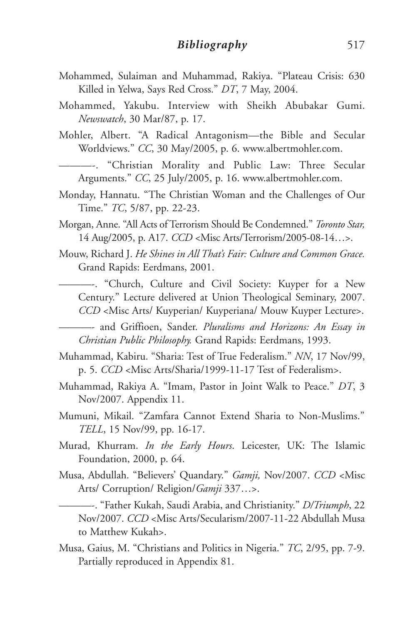- Mohammed, Sulaiman and Muhammad, Rakiya. "Plateau Crisis: 630 Killed in Yelwa, Says Red Cross." *DT*, 7 May, 2004.
- Mohammed, Yakubu. Interview with Sheikh Abubakar Gumi. *Newswatch*, 30 Mar/87, p. 17.
- Mohler, Albert. "A Radical Antagonism—the Bible and Secular Worldviews." *CC*, 30 May/2005, p. 6. www.albertmohler.com.
	- ———-. "Christian Morality and Public Law: Three Secular Arguments." *CC*, 25 July/2005, p. 16. www.albertmohler.com.
- Monday, Hannatu. "The Christian Woman and the Challenges of Our Time." *TC*, 5/87, pp. 22-23.
- Morgan, Anne. "All Acts ofTerrorism Should Be Condemned." *Toronto Star,* 14 Aug/2005, p. A17. *CCD* <Misc Arts/Terrorism/2005-08-14…>.
- Mouw, Richard J. *He Shines in All That's Fair: Culture and Common Grace.* Grand Rapids: Eerdmans, 2001.
- ———-. "Church, Culture and Civil Society: Kuyper for a New Century." Lecture delivered at Union Theological Seminary, 2007. *CCD* <Misc Arts/ Kuyperian/ Kuyperiana/ Mouw Kuyper Lecture>.

———- and Griffioen, Sander. *Pluralisms and Horizons: An Essay in Christian Public Philosophy.* Grand Rapids: Eerdmans, 1993.

- Muhammad, Kabiru. "Sharia: Test of True Federalism." *NN*, 17 Nov/99, p. 5. *CCD* <Misc Arts/Sharia/1999-11-17 Test of Federalism>.
- Muhammad, Rakiya A. "Imam, Pastor in Joint Walk to Peace." *DT*, 3 Nov/2007. Appendix 11.
- Mumuni, Mikail. "Zamfara Cannot Extend Sharia to Non-Muslims." *TELL*, 15 Nov/99, pp. 16-17.
- Murad, Khurram. *In the Early Hours*. Leicester, UK: The Islamic Foundation, 2000, p. 64.
- Musa, Abdullah. "Believers' Quandary." *Gamji,* Nov/2007. *CCD* <Misc Arts/ Corruption/ Religion/*Gamji* 337…>.

———-. "Father Kukah, Saudi Arabia, and Christianity." *D/Triumph*, 22 Nov/2007. *CCD* <Misc Arts/Secularism/2007-11-22 Abdullah Musa to Matthew Kukah>.

Musa, Gaius, M. "Christians and Politics in Nigeria." *TC*, 2/95, pp. 7-9. Partially reproduced in Appendix 81.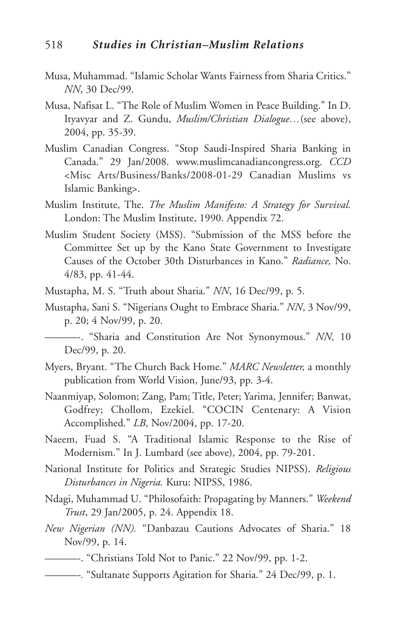- Musa, Muhammad. "Islamic Scholar Wants Fairness from Sharia Critics." *NN*, 30 Dec/99.
- Musa, Nafisat L. "The Role of Muslim Women in Peace Building." In D. Ityavyar and Z. Gundu, *Muslim/Christian Dialogue…*(see above), 2004, pp. 35-39.
- Muslim Canadian Congress. "Stop Saudi-Inspired Sharia Banking in Canada." 29 Jan/2008. www.muslimcanadiancongress.org. *CCD* <Misc Arts/Business/Banks/2008-01-29 Canadian Muslims vs Islamic Banking>.
- Muslim Institute, The. *The Muslim Manifesto: A Strategy for Survival.* London: The Muslim Institute, 1990. Appendix 72.
- Muslim Student Society (MSS). "Submission of the MSS before the Committee Set up by the Kano State Government to Investigate Causes of the October 30th Disturbances in Kano." *Radiance,* No. 4/83, pp. 41-44.
- Mustapha, M. S. "Truth about Sharia." *NN*, 16 Dec/99, p. 5.
- Mustapha, Sani S. "Nigerians Ought to Embrace Sharia." *NN*, 3 Nov/99, p. 20; 4 Nov/99, p. 20.
- ———-. "Sharia and Constitution Are Not Synonymous." *NN,* 10 Dec/99, p. 20.
- Myers, Bryant. "The Church Back Home." *MARC Newsletter,* a monthly publication from World Vision, June/93, pp. 3-4.
- Naanmiyap, Solomon; Zang, Pam; Title, Peter; Yarima, Jennifer; Banwat, Godfrey; Chollom, Ezekiel. "COCIN Centenary: A Vision Accomplished." *LB*, Nov/2004, pp. 17-20.
- Naeem, Fuad S. "A Traditional Islamic Response to the Rise of Modernism." In J. Lumbard (see above), 2004, pp. 79-201.
- National Institute for Politics and Strategic Studies NIPSS). *Religious Disturbances in Nigeria.* Kuru: NIPSS, 1986.
- Ndagi, Muhammad U. "Philosofaith: Propagating by Manners." *Weekend Trust*, 29 Jan/2005, p. 24. Appendix 18.
- *New Nigerian (NN).* "Danbazau Cautions Advocates of Sharia." 18 Nov/99, p. 14.
	- ———-. "Christians Told Not to Panic." 22 Nov/99, pp. 1-2.
- *———-.* "Sultanate Supports Agitation for Sharia." 24 Dec/99, p. 1.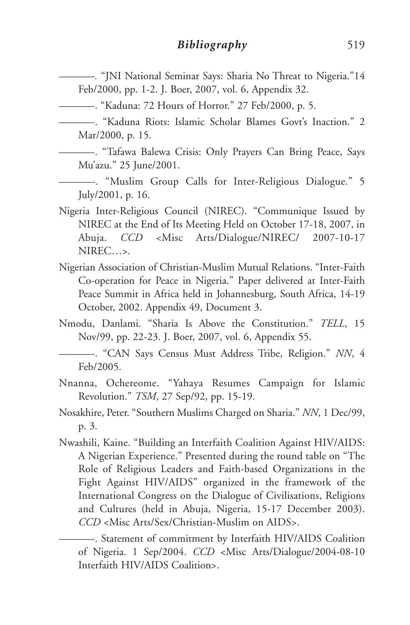*———-.* "JNI National Seminar Says: Sharia No Threat to Nigeria."14 Feb/2000, pp. 1-2. J. Boer, 2007, vol. 6, Appendix 32.

———-. "Kaduna: 72 Hours of Horror." 27 Feb/2000, p. 5.

———-. "Kaduna Riots: Islamic Scholar Blames Govt's Inaction." 2 Mar/2000, p. 15.

———-. "Tafawa Balewa Crisis: Only Prayers Can Bring Peace, Says Mu'azu." 25 June/2001.

———-. "Muslim Group Calls for Inter-Religious Dialogue." 5 July/2001, p. 16.

- Nigeria Inter-Religious Council (NIREC). "Communique Issued by NIREC at the End of Its Meeting Held on October 17-18, 2007, in Abuja. *CCD* <Misc Arts/Dialogue/NIREC/ 2007-10-17 NIREC…>.
- Nigerian Association of Christian-Muslim Mutual Relations. "Inter-Faith Co-operation for Peace in Nigeria." Paper delivered at Inter-Faith Peace Summit in Africa held in Johannesburg, South Africa, 14-19 October, 2002. Appendix 49, Document 3.
- Nmodu, Danlami. "Sharia Is Above the Constitution." *TELL*, 15 Nov/99, pp. 22-23. J. Boer, 2007, vol. 6, Appendix 55.
- ———-. "CAN Says Census Must Address Tribe, Religion." *NN*, 4 Feb/2005.
- Nnanna, Ochereome. "Yahaya Resumes Campaign for Islamic Revolution." *TSM*, 27 Sep/92, pp. 15-19.
- Nosakhire, Peter. "Southern Muslims Charged on Sharia." *NN*, 1 Dec/99, p. 3.
- Nwashili, Kaine. "Building an Interfaith Coalition Against HIV/AIDS: A Nigerian Experience." Presented during the round table on "The Role of Religious Leaders and Faith-based Organizations in the Fight Against HIV/AIDS" organized in the framework of the International Congress on the Dialogue of Civilisations, Religions and Cultures (held in Abuja, Nigeria, 15-17 December 2003). *CCD* <Misc Arts/Sex/Christian-Muslim on AIDS>.

———-. Statement of commitment by Interfaith HIV/AIDS Coalition of Nigeria. 1 Sep/2004. *CCD* <Misc Arts/Dialogue/2004-08-10 Interfaith HIV/AIDS Coalition>.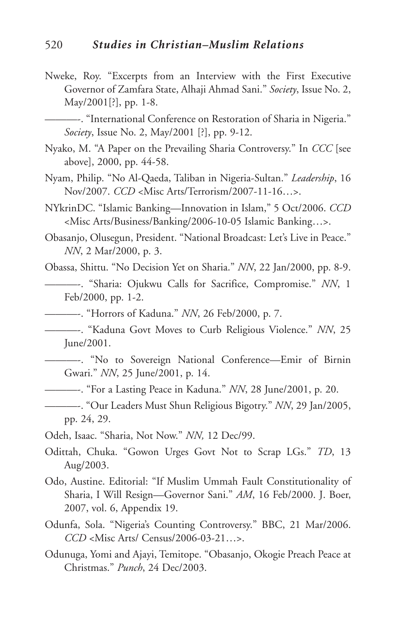Nweke, Roy. "Excerpts from an Interview with the First Executive Governor of Zamfara State, Alhaji Ahmad Sani." *Society*, Issue No. 2, May/2001[?], pp. 1-8.

———-. "International Conference on Restoration of Sharia in Nigeria." *Society*, Issue No. 2, May/2001 [?], pp. 9-12.

- Nyako, M. "A Paper on the Prevailing Sharia Controversy." In *CCC* [see above], 2000, pp. 44-58.
- Nyam, Philip. "No Al-Qaeda, Taliban in Nigeria-Sultan." *Leadership*, 16 Nov/2007. *CCD* <Misc Arts/Terrorism/2007-11-16…>.
- NYkrinDC. "Islamic Banking—Innovation in Islam," 5 Oct/2006. *CCD* <Misc Arts/Business/Banking/2006-10-05 Islamic Banking…>.
- Obasanjo, Olusegun, President. "National Broadcast: Let's Live in Peace." *NN*, 2 Mar/2000, p. 3.

Obassa, Shittu. "No Decision Yet on Sharia." *NN*, 22 Jan/2000, pp. 8-9.

- ———-. "Sharia: Ojukwu Calls for Sacrifice, Compromise." *NN*, 1 Feb/2000, pp. 1-2.
- ———-. "Horrors of Kaduna." *NN*, 26 Feb/2000, p. 7.
- ———-. "Kaduna Govt Moves to Curb Religious Violence." *NN*, 25 June/2001.
- ———-. "No to Sovereign National Conference—Emir of Birnin Gwari." *NN*, 25 June/2001, p. 14.
- ———-. "For a Lasting Peace in Kaduna." *NN*, 28 June/2001, p. 20.
- ———-. "Our Leaders Must Shun Religious Bigotry." *NN*, 29 Jan/2005, pp. 24, 29.
- Odeh, Isaac. "Sharia, Not Now." *NN,* 12 Dec/99.
- Odittah, Chuka. "Gowon Urges Govt Not to Scrap LGs." *TD*, 13 Aug/2003.
- Odo, Austine. Editorial: "If Muslim Ummah Fault Constitutionality of Sharia, I Will Resign—Governor Sani." *AM*, 16 Feb/2000. J. Boer, 2007, vol. 6, Appendix 19.
- Odunfa, Sola. "Nigeria's Counting Controversy." BBC, 21 Mar/2006. *CCD* <Misc Arts/ Census/2006-03-21…>.
- Odunuga, Yomi and Ajayi, Temitope. "Obasanjo, Okogie Preach Peace at Christmas." *Punch*, 24 Dec/2003.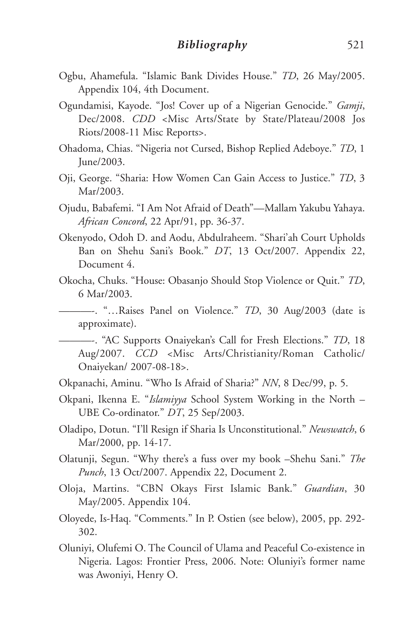- Ogbu, Ahamefula. "Islamic Bank Divides House." *TD*, 26 May/2005. Appendix 104, 4th Document.
- Ogundamisi, Kayode. "Jos! Cover up of a Nigerian Genocide." *Gamji*, Dec/2008. *CDD* <Misc Arts/State by State/Plateau/2008 Jos Riots/2008-11 Misc Reports>.
- Ohadoma, Chias. "Nigeria not Cursed, Bishop Replied Adeboye." *TD*, 1 June/2003.
- Oji, George. "Sharia: How Women Can Gain Access to Justice." *TD*, 3 Mar/2003.
- Ojudu, Babafemi. "I Am Not Afraid of Death"—Mallam Yakubu Yahaya. *African Concord*, 22 Apr/91, pp. 36-37.
- Okenyodo, Odoh D. and Aodu, Abdulraheem. "Shari'ah Court Upholds Ban on Shehu Sani's Book." *DT*, 13 Oct/2007. Appendix 22, Document 4.
- Okocha, Chuks. "House: Obasanjo Should Stop Violence or Quit." *TD*, 6 Mar/2003.
	- ———-. "…Raises Panel on Violence." *TD*, 30 Aug/2003 (date is approximate).

———-. "AC Supports Onaiyekan's Call for Fresh Elections." *TD*, 18 Aug/2007. *CCD* <Misc Arts/Christianity/Roman Catholic/ Onaiyekan/ 2007-08-18>.

- Okpanachi, Aminu. "Who Is Afraid of Sharia?" *NN*, 8 Dec/99, p. 5.
- Okpani, Ikenna E. "*Islamiyya* School System Working in the North UBE Co-ordinator." *DT*, 25 Sep/2003.
- Oladipo, Dotun. "I'll Resign if Sharia Is Unconstitutional." *Newswatch*, 6 Mar/2000, pp. 14-17.
- Olatunji, Segun. "Why there's a fuss over my book –Shehu Sani." *The Punch*, 13 Oct/2007. Appendix 22, Document 2.
- Oloja, Martins. "CBN Okays First Islamic Bank." *Guardian*, 30 May/2005. Appendix 104.
- Oloyede, Is-Haq. "Comments." In P. Ostien (see below), 2005, pp. 292- 302.
- Oluniyi, Olufemi O. The Council of Ulama and Peaceful Co-existence in Nigeria. Lagos: Frontier Press, 2006. Note: Oluniyi's former name was Awoniyi, Henry O.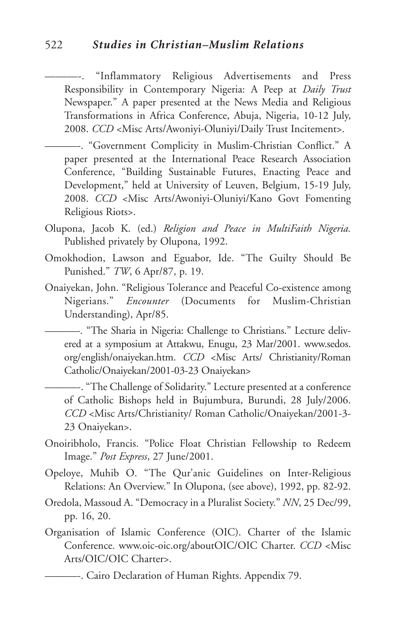### 522 *Studies in Christian–Muslim Relations*

"Inflammatory Religious Advertisements and Press Responsibility in Contemporary Nigeria: A Peep at *Daily Trust* Newspaper." A paper presented at the News Media and Religious Transformations in Africa Conference, Abuja, Nigeria, 10-12 July, 2008. *CCD* <Misc Arts/Awoniyi-Oluniyi/Daily Trust Incitement>.

———-. "Government Complicity in Muslim-Christian Conflict." A paper presented at the International Peace Research Association Conference, "Building Sustainable Futures, Enacting Peace and Development," held at University of Leuven, Belgium, 15-19 July, 2008. *CCD* <Misc Arts/Awoniyi-Oluniyi/Kano Govt Fomenting Religious Riots>.

- Olupona, Jacob K. (ed.) *Religion and Peace in MultiFaith Nigeria.* Published privately by Olupona, 1992.
- Omokhodion, Lawson and Eguabor, Ide. "The Guilty Should Be Punished." *TW*, 6 Apr/87, p. 19.
- Onaiyekan, John. "Religious Tolerance and Peaceful Co-existence among Nigerians." *Encounter* (Documents for Muslim-Christian Understanding), Apr/85.

———-. "The Sharia in Nigeria: Challenge to Christians." Lecture delivered at a symposium at Attakwu, Enugu, 23 Mar/2001. www.sedos. org/english/onaiyekan.htm. *CCD* <Misc Arts/ Christianity/Roman Catholic/Onaiyekan/2001-03-23 Onaiyekan>

———-. "The Challenge of Solidarity." Lecture presented at a conference of Catholic Bishops held in Bujumbura, Burundi, 28 July/2006. *CCD* <Misc Arts/Christianity/ Roman Catholic/Onaiyekan/2001-3- 23 Onaiyekan>.

- Onoiribholo, Francis. "Police Float Christian Fellowship to Redeem Image." *Post Express*, 27 June/2001.
- Opeloye, Muhib O. "The Qur'anic Guidelines on Inter-Religious Relations: An Overview." In Olupona, (see above), 1992, pp. 82-92.
- Oredola, Massoud A. "Democracy in a Pluralist Society." *NN*, 25 Dec/99, pp. 16, 20.
- Organisation of Islamic Conference (OIC). Charter of the Islamic Conference. www.oic-oic.org/aboutOIC/OIC Charter. *CCD* <Misc Arts/OIC/OIC Charter>.

<sup>———-.</sup> Cairo Declaration of Human Rights. Appendix 79.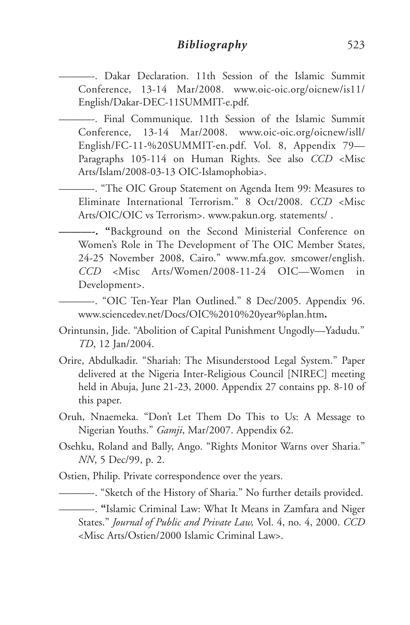———-. Dakar Declaration. 11th Session of the Islamic Summit Conference, 13-14 Mar/2008. www.oic-oic.org/oicnew/is11/ English/Dakar-DEC-11SUMMIT-e.pdf.

———-. Final Communique. 11th Session of the Islamic Summit Conference, 13-14 Mar/2008. www.oic-oic.org/oicnew/isll/ English/FC-11-%20SUMMIT-en.pdf. Vol. 8, Appendix 79— Paragraphs 105-114 on Human Rights. See also *CCD* <Misc Arts/Islam/2008-03-13 OIC-Islamophobia>.

———-. "The OIC Group Statement on Agenda Item 99: Measures to Eliminate International Terrorism." 8 Oct/2008. *CCD* <Misc Arts/OIC/OIC vs Terrorism>. www.pakun.org. statements/ .

**———-. "**Background on the Second Ministerial Conference on Women's Role in The Development of The OIC Member States, 24-25 November 2008, Cairo." www.mfa.gov. smcower/english. *CCD* <Misc Arts/Women/2008-11-24 OIC—Women in Development>.

———-. "OIC Ten-Year Plan Outlined." 8 Dec/2005. Appendix 96. www.sciencedev.net/Docs/OIC%2010%20year%plan.htm**.**

- Orintunsin, Jide. "Abolition of Capital Punishment Ungodly—Yadudu." *TD*, 12 Jan/2004.
- Orire, Abdulkadir. "Shariah: The Misunderstood Legal System." Paper delivered at the Nigeria Inter-Religious Council [NIREC] meeting held in Abuja, June 21-23, 2000. Appendix 27 contains pp. 8-10 of this paper.
- Oruh, Nnaemeka. "Don't Let Them Do This to Us: A Message to Nigerian Youths." *Gamji*, Mar/2007. Appendix 62.
- Osehku, Roland and Bally, Ango. "Rights Monitor Warns over Sharia." *NN*, 5 Dec/99, p. 2.
- Ostien, Philip. Private correspondence over the years.
	- ———-. "Sketch of the History of Sharia." No further details provided.

———-. **"**Islamic Criminal Law: What It Means in Zamfara and Niger States." *Journal of Public and Private Law,* Vol. 4, no. 4, 2000. *CCD* <Misc Arts/Ostien/2000 Islamic Criminal Law>.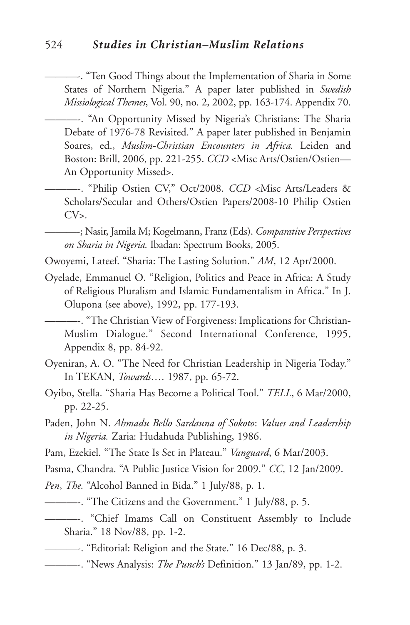———-. "Ten Good Things about the Implementation of Sharia in Some States of Northern Nigeria." A paper later published in *Swedish Missiological Themes*, Vol. 90, no. 2, 2002, pp. 163-174. Appendix 70.

———-. "An Opportunity Missed by Nigeria's Christians: The Sharia Debate of 1976-78 Revisited." A paper later published in Benjamin Soares, ed., *Muslim-Christian Encounters in Africa.* Leiden and Boston: Brill, 2006, pp. 221-255. *CCD* <Misc Arts/Ostien/Ostien— An Opportunity Missed>.

———-. "Philip Ostien CV," Oct/2008. *CCD* <Misc Arts/Leaders & Scholars/Secular and Others/Ostien Papers/2008-10 Philip Ostien  $CV<sub>></sub>$ .

———-; Nasir, Jamila M; Kogelmann, Franz (Eds). *Comparative Perspectives on Sharia in Nigeria.* Ibadan: Spectrum Books, 2005.

Owoyemi, Lateef. "Sharia: The Lasting Solution." *AM*, 12 Apr/2000.

Oyelade, Emmanuel O. "Religion, Politics and Peace in Africa: A Study of Religious Pluralism and Islamic Fundamentalism in Africa." In J. Olupona (see above), 1992, pp. 177-193.

———-. "The Christian View of Forgiveness: Implications for Christian-Muslim Dialogue." Second International Conference, 1995, Appendix 8, pp. 84-92.

- Oyeniran, A. O. "The Need for Christian Leadership in Nigeria Today." In TEKAN, *Towards….* 1987, pp. 65-72.
- Oyibo, Stella. "Sharia Has Become a Political Tool." *TELL*, 6 Mar/2000, pp. 22-25.
- Paden, John N. *Ahmadu Bello Sardauna of Sokoto*: *Values and Leadership in Nigeria.* Zaria: Hudahuda Publishing, 1986.

Pam, Ezekiel. "The State Is Set in Plateau." *Vanguard*, 6 Mar/2003.

Pasma, Chandra. "A Public Justice Vision for 2009." *CC*, 12 Jan/2009.

*Pen*, *The.* "Alcohol Banned in Bida." 1 July/88, p. 1.

- ———-. "The Citizens and the Government." 1 July/88, p. 5.
- ———-. "Chief Imams Call on Constituent Assembly to Include Sharia." 18 Nov/88, pp. 1-2.
- ———-. "Editorial: Religion and the State." 16 Dec/88, p. 3.
- ———-. "News Analysis: *The Punch's* Definition." 13 Jan/89, pp. 1-2.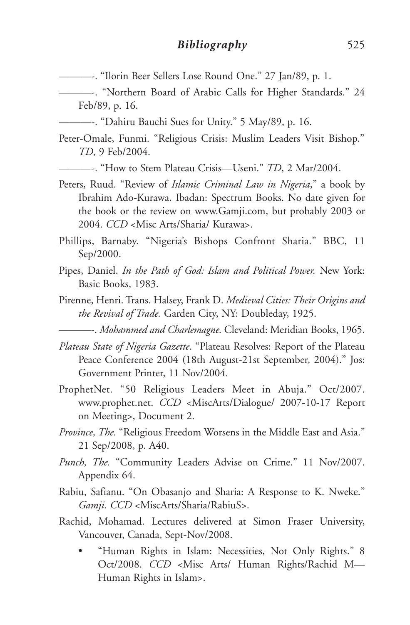———-. "Ilorin Beer Sellers Lose Round One." 27 Jan/89, p. 1.

———-. "Northern Board of Arabic Calls for Higher Standards." 24 Feb/89, p. 16.

———-. "Dahiru Bauchi Sues for Unity." 5 May/89, p. 16.

Peter-Omale, Funmi. "Religious Crisis: Muslim Leaders Visit Bishop." *TD*, 9 Feb/2004.

———-. "How to Stem Plateau Crisis—Useni." *TD*, 2 Mar/2004.

- Peters, Ruud. "Review of *Islamic Criminal Law in Nigeria*," a book by Ibrahim Ado-Kurawa. Ibadan: Spectrum Books. No date given for the book or the review on www.Gamji.com, but probably 2003 or 2004. *CCD* <Misc Arts/Sharia/ Kurawa>.
- Phillips, Barnaby. "Nigeria's Bishops Confront Sharia." BBC, 11 Sep/2000.
- Pipes, Daniel. *In the Path of God: Islam and Political Power.* New York: Basic Books, 1983.
- Pirenne, Henri. Trans. Halsey, Frank D. *Medieval Cities: Their Origins and the Revival of Trade.* Garden City, NY: Doubleday, 1925.

———-. *Mohammed and Charlemagne.* Cleveland: Meridian Books, 1965.

- *Plateau State of Nigeria Gazette*. "Plateau Resolves: Report of the Plateau Peace Conference 2004 (18th August-21st September, 2004)." Jos: Government Printer, 11 Nov/2004.
- ProphetNet. "50 Religious Leaders Meet in Abuja." Oct/2007. www.prophet.net. *CCD* <MiscArts/Dialogue/ 2007-10-17 Report on Meeting>, Document 2.
- *Province, The.* "Religious Freedom Worsens in the Middle East and Asia." 21 Sep/2008, p. A40.
- *Punch, The.* "Community Leaders Advise on Crime." 11 Nov/2007. Appendix 64.
- Rabiu, Safianu. "On Obasanjo and Sharia: A Response to K. Nweke." *Gamji*. *CCD* <MiscArts/Sharia/RabiuS>.
- Rachid, Mohamad. Lectures delivered at Simon Fraser University, Vancouver, Canada, Sept-Nov/2008.
	- "Human Rights in Islam: Necessities, Not Only Rights." 8 Oct/2008. *CCD* <Misc Arts/ Human Rights/Rachid M— Human Rights in Islam>.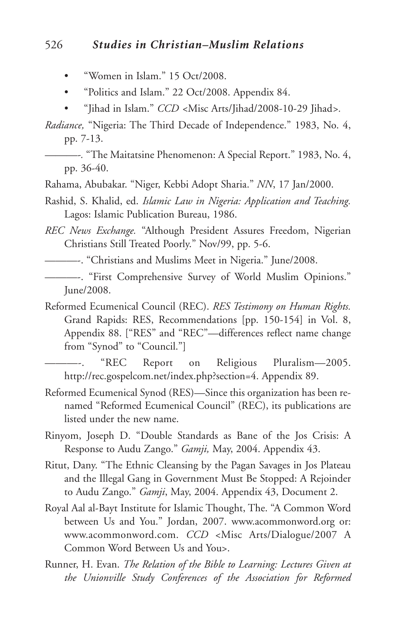### 526 *Studies in Christian–Muslim Relations*

- "Women in Islam." 15 Oct/2008.
- "Politics and Islam." 22 Oct/2008. Appendix 84.
- "Jihad in Islam." *CCD <*Misc Arts/Jihad/2008-10-29 Jihad*>.*
- *Radiance,* "Nigeria: The Third Decade of Independence." 1983, No. 4, pp. 7-13.
- *———-.* "The Maitatsine Phenomenon: A Special Report." 1983, No. 4, pp. 36-40.
- Rahama, Abubakar. "Niger, Kebbi Adopt Sharia." *NN*, 17 Jan/2000.
- Rashid, S. Khalid, ed. *Islamic Law in Nigeria: Application and Teaching.* Lagos: Islamic Publication Bureau, 1986.
- *REC News Exchange.* "Although President Assures Freedom, Nigerian Christians Still Treated Poorly." Nov/99, pp. 5-6.
- ———-. "Christians and Muslims Meet in Nigeria." June/2008.
- ———-. "First Comprehensive Survey of World Muslim Opinions." June/2008.
- Reformed Ecumenical Council (REC). *RES Testimony on Human Rights.* Grand Rapids: RES, Recommendations [pp. 150-154] in Vol. 8, Appendix 88. ["RES" and "REC"—differences reflect name change from "Synod" to "Council."]

"REC Report on Religious Pluralism-2005. http://rec.gospelcom.net/index.php?section=4. Appendix 89.

- Reformed Ecumenical Synod (RES)—Since this organization has been renamed "Reformed Ecumenical Council" (REC), its publications are listed under the new name.
- Rinyom, Joseph D. "Double Standards as Bane of the Jos Crisis: A Response to Audu Zango." *Gamji,* May, 2004. Appendix 43.
- Ritut, Dany. "The Ethnic Cleansing by the Pagan Savages in Jos Plateau and the Illegal Gang in Government Must Be Stopped: A Rejoinder to Audu Zango." *Gamji*, May, 2004. Appendix 43, Document 2.
- Royal Aal al-Bayt Institute for Islamic Thought, The. "A Common Word between Us and You." Jordan, 2007. www.acommonword.org or: www.acommonword.com. *CCD* <Misc Arts/Dialogue/2007 A Common Word Between Us and You>.
- Runner, H. Evan. *The Relation of the Bible to Learning: Lectures Given at the Unionville Study Conferences of the Association for Reformed*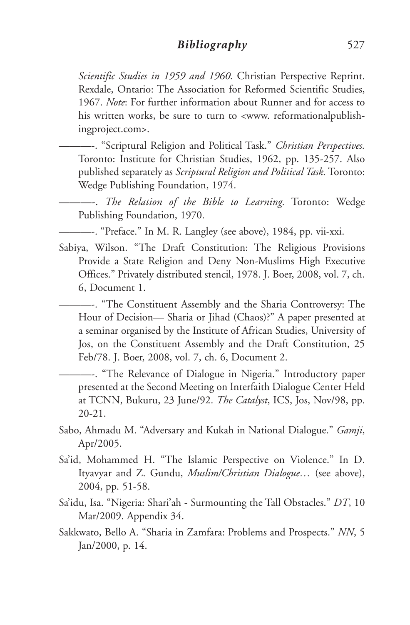#### *Bibliography* 527

*Scientific Studies in 1959 and 1960.* Christian Perspective Reprint. Rexdale, Ontario: The Association for Reformed Scientific Studies, 1967. *Note*: For further information about Runner and for access to his written works, be sure to turn to <www. reformationalpublishingproject.com>.

———-. "Scriptural Religion and Political Task." *Christian Perspectives.* Toronto: Institute for Christian Studies, 1962, pp. 135-257. Also published separately as *Scriptural Religion and Political Task.* Toronto: Wedge Publishing Foundation, 1974.

———-. *The Relation of the Bible to Learning.* Toronto: Wedge Publishing Foundation, 1970.

———-. "Preface." In M. R. Langley (see above), 1984, pp. vii-xxi.

Sabiya, Wilson. "The Draft Constitution: The Religious Provisions Provide a State Religion and Deny Non-Muslims High Executive Offices." Privately distributed stencil, 1978. J. Boer, 2008, vol. 7, ch. 6, Document 1.

———-. "The Constituent Assembly and the Sharia Controversy: The Hour of Decision— Sharia or Jihad (Chaos)?" A paper presented at a seminar organised by the Institute of African Studies, University of Jos, on the Constituent Assembly and the Draft Constitution, 25 Feb/78. J. Boer, 2008, vol. 7, ch. 6, Document 2.

———-. "The Relevance of Dialogue in Nigeria." Introductory paper presented at the Second Meeting on Interfaith Dialogue Center Held at TCNN, Bukuru, 23 June/92. *The Catalyst*, ICS, Jos, Nov/98, pp. 20-21.

- Sabo, Ahmadu M. "Adversary and Kukah in National Dialogue." *Gamji*, Apr/2005.
- Sa'id, Mohammed H. "The Islamic Perspective on Violence." In D. Ityavyar and Z. Gundu, *Muslim/Christian Dialogue…* (see above), 2004, pp. 51-58.
- Sa'idu, Isa. "Nigeria: Shari'ah Surmounting the Tall Obstacles." *DT*, 10 Mar/2009. Appendix 34.
- Sakkwato, Bello A. "Sharia in Zamfara: Problems and Prospects." *NN*, 5 Jan/2000, p. 14.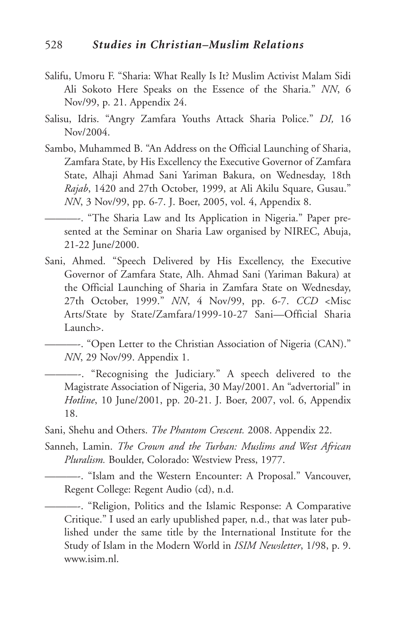- Salifu, Umoru F. "Sharia: What Really Is It? Muslim Activist Malam Sidi Ali Sokoto Here Speaks on the Essence of the Sharia." *NN*, 6 Nov/99, p. 21. Appendix 24.
- Salisu, Idris. "Angry Zamfara Youths Attack Sharia Police." *DI,* 16 Nov/2004.
- Sambo, Muhammed B. "An Address on the Official Launching of Sharia, Zamfara State, by His Excellency the Executive Governor of Zamfara State, Alhaji Ahmad Sani Yariman Bakura, on Wednesday, 18th *Rajab*, 1420 and 27th October, 1999, at Ali Akilu Square, Gusau." *NN*, 3 Nov/99, pp. 6-7. J. Boer, 2005, vol. 4, Appendix 8.

———-. "The Sharia Law and Its Application in Nigeria." Paper presented at the Seminar on Sharia Law organised by NIREC, Abuja, 21-22 June/2000.

Sani, Ahmed. "Speech Delivered by His Excellency, the Executive Governor of Zamfara State, Alh. Ahmad Sani (Yariman Bakura) at the Official Launching of Sharia in Zamfara State on Wednesday, 27th October, 1999." *NN*, 4 Nov/99, pp. 6-7. *CCD* <Misc Arts/State by State/Zamfara/1999-10-27 Sani—Official Sharia Launch>.

———-. "Open Letter to the Christian Association of Nigeria (CAN)." *NN*, 29 Nov/99. Appendix 1.

———-. "Recognising the Judiciary." A speech delivered to the Magistrate Association of Nigeria, 30 May/2001. An "advertorial" in *Hotline*, 10 June/2001, pp. 20-21. J. Boer, 2007, vol. 6, Appendix 18.

Sani, Shehu and Others. *The Phantom Crescent.* 2008. Appendix 22.

Sanneh, Lamin. *The Crown and the Turban: Muslims and West African Pluralism.* Boulder, Colorado: Westview Press, 1977.

———-. "Islam and the Western Encounter: A Proposal." Vancouver, Regent College: Regent Audio (cd), n.d.

———-. "Religion, Politics and the Islamic Response: A Comparative Critique." I used an early upublished paper, n.d., that was later published under the same title by the International Institute for the Study of Islam in the Modern World in *ISIM Newsletter*, 1/98, p. 9. www.isim.nl.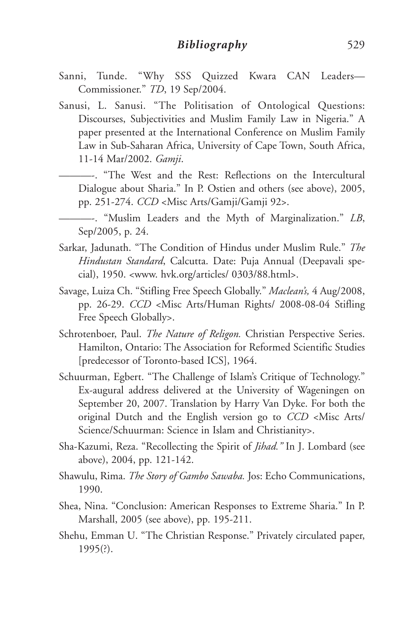- Sanni, Tunde. "Why SSS Quizzed Kwara CAN Leaders— Commissioner." *TD*, 19 Sep/2004.
- Sanusi, L. Sanusi. "The Politisation of Ontological Questions: Discourses, Subjectivities and Muslim Family Law in Nigeria." A paper presented at the International Conference on Muslim Family Law in Sub-Saharan Africa, University of Cape Town, South Africa, 11-14 Mar/2002. *Gamji*.
	- ———-. "The West and the Rest: Reflections on the Intercultural Dialogue about Sharia." In P. Ostien and others (see above), 2005, pp. 251-274. *CCD* <Misc Arts/Gamji/Gamji 92>.
	- ———-. "Muslim Leaders and the Myth of Marginalization." *LB*, Sep/2005, p. 24.
- Sarkar, Jadunath. "The Condition of Hindus under Muslim Rule." *The Hindustan Standard*, Calcutta. Date: Puja Annual (Deepavali special), 1950. <www. hvk.org/articles/ 0303/88.html>.
- Savage, Luiza Ch. "Stifling Free Speech Globally." *Maclean's,* 4 Aug/2008, pp. 26-29. *CCD* <Misc Arts/Human Rights/ 2008-08-04 Stifling Free Speech Globally>.
- Schrotenboer, Paul. *The Nature of Religon.* Christian Perspective Series. Hamilton, Ontario: The Association for Reformed Scientific Studies [predecessor of Toronto-based ICS], 1964.
- Schuurman, Egbert. "The Challenge of Islam's Critique of Technology." Ex-augural address delivered at the University of Wageningen on September 20, 2007. Translation by Harry Van Dyke. For both the original Dutch and the English version go to *CCD* <Misc Arts/ Science/Schuurman: Science in Islam and Christianity>.
- Sha-Kazumi, Reza. "Recollecting the Spirit of *Jihad."* In J. Lombard (see above), 2004, pp. 121-142.
- Shawulu, Rima. *The Story of Gambo Sawaba.* Jos: Echo Communications, 1990.
- Shea, Nina. "Conclusion: American Responses to Extreme Sharia." In P. Marshall, 2005 (see above), pp. 195-211.
- Shehu, Emman U. "The Christian Response." Privately circulated paper, 1995(?).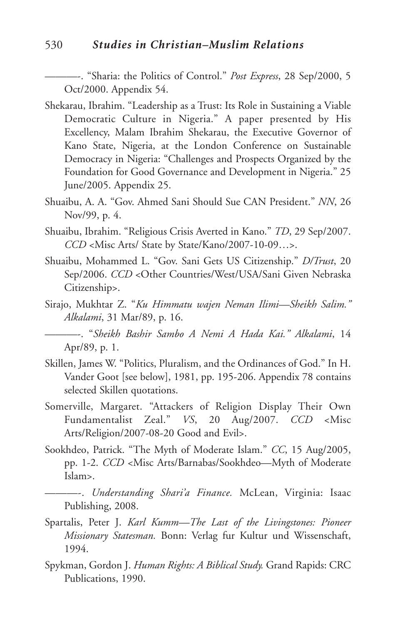#### 530 *Studies in Christian–Muslim Relations*

———-. "Sharia: the Politics of Control." *Post Express*, 28 Sep/2000, 5 Oct/2000. Appendix 54.

- Shekarau, Ibrahim. "Leadership as a Trust: Its Role in Sustaining a Viable Democratic Culture in Nigeria." A paper presented by His Excellency, Malam Ibrahim Shekarau, the Executive Governor of Kano State, Nigeria, at the London Conference on Sustainable Democracy in Nigeria: "Challenges and Prospects Organized by the Foundation for Good Governance and Development in Nigeria." 25 June/2005. Appendix 25.
- Shuaibu, A. A. "Gov. Ahmed Sani Should Sue CAN President." *NN*, 26 Nov/99, p. 4.
- Shuaibu, Ibrahim. "Religious Crisis Averted in Kano." *TD*, 29 Sep/2007. *CCD* <Misc Arts/ State by State/Kano/2007-10-09…>.
- Shuaibu, Mohammed L. "Gov. Sani Gets US Citizenship." *D/Trust*, 20 Sep/2006. *CCD* < Other Countries/West/USA/Sani Given Nebraska Citizenship>.
- Sirajo, Mukhtar Z. "*Ku Himmatu wajen Neman Ilimi—Sheikh Salim." Alkalami*, 31 Mar/89, p. 16.

———-. "*Sheikh Bashir Sambo A Nemi A Hada Kai." Alkalami*, 14 Apr/89, p. 1.

- Skillen, James W. "Politics, Pluralism, and the Ordinances of God." In H. Vander Goot [see below], 1981, pp. 195-206. Appendix 78 contains selected Skillen quotations.
- Somerville, Margaret. "Attackers of Religion Display Their Own Fundamentalist Zeal." *VS*, 20 Aug/2007. *CCD* <Misc Arts/Religion/2007-08-20 Good and Evil>.
- Sookhdeo, Patrick. "The Myth of Moderate Islam." *CC*, 15 Aug/2005, pp. 1-2. *CCD* <Misc Arts/Barnabas/Sookhdeo—Myth of Moderate Islam>.
	- ———-. *Understanding Shari'a Finance.* McLean, Virginia: Isaac Publishing, 2008.
- Spartalis, Peter J. *Karl Kumm—The Last of the Livingstones: Pioneer Missionary Statesman.* Bonn: Verlag fur Kultur und Wissenschaft, 1994.
- Spykman, Gordon J. *Human Rights: A Biblical Study.* Grand Rapids: CRC Publications, 1990.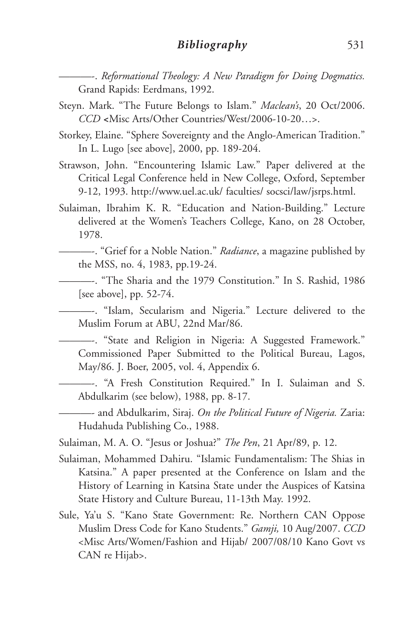———-. *Reformational Theology: A New Paradigm for Doing Dogmatics.* Grand Rapids: Eerdmans, 1992.

- Steyn. Mark. "The Future Belongs to Islam." *Maclean's*, 20 Oct/2006. *CCD <*Misc Arts/Other Countries/West/2006-10-20…>.
- Storkey, Elaine. "Sphere Sovereignty and the Anglo-American Tradition." In L. Lugo [see above], 2000, pp. 189-204.
- Strawson, John. "Encountering Islamic Law." Paper delivered at the Critical Legal Conference held in New College, Oxford, September 9-12, 1993. http://www.uel.ac.uk/ faculties/ socsci/law/jsrps.html.
- Sulaiman, Ibrahim K. R. "Education and Nation-Building." Lecture delivered at the Women's Teachers College, Kano, on 28 October, 1978.
	- ———-. "Grief for a Noble Nation." *Radiance*, a magazine published by the MSS, no. 4, 1983, pp.19-24.
	- ———-. "The Sharia and the 1979 Constitution." In S. Rashid, 1986 [see above], pp. 52-74.
	- ———-. "Islam, Secularism and Nigeria." Lecture delivered to the Muslim Forum at ABU, 22nd Mar/86.
	- ———-. "State and Religion in Nigeria: A Suggested Framework." Commissioned Paper Submitted to the Political Bureau, Lagos, May/86. J. Boer, 2005, vol. 4, Appendix 6.
	- ———-. "A Fresh Constitution Required." In I. Sulaiman and S. Abdulkarim (see below), 1988, pp. 8-17.
	- ———- and Abdulkarim, Siraj. *On the Political Future of Nigeria.* Zaria: Hudahuda Publishing Co., 1988.
- Sulaiman, M. A. O. "Jesus or Joshua?" *The Pen*, 21 Apr/89, p. 12.
- Sulaiman, Mohammed Dahiru. "Islamic Fundamentalism: The Shias in Katsina." A paper presented at the Conference on Islam and the History of Learning in Katsina State under the Auspices of Katsina State History and Culture Bureau, 11-13th May. 1992.
- Sule, Ya'u S. "Kano State Government: Re. Northern CAN Oppose Muslim Dress Code for Kano Students." *Gamji,* 10 Aug/2007. *CCD* <Misc Arts/Women/Fashion and Hijab/ 2007/08/10 Kano Govt vs CAN re Hijab>.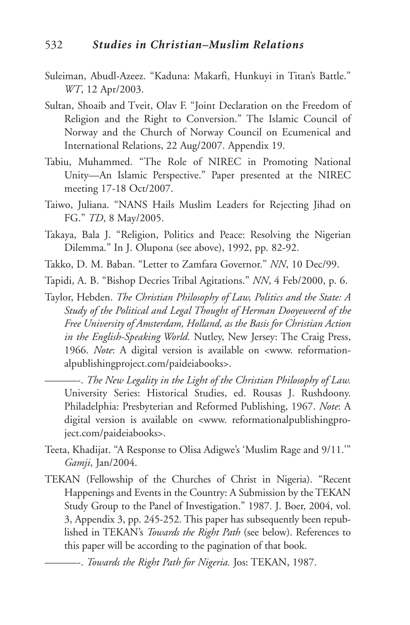- Suleiman, Abudl-Azeez. "Kaduna: Makarfi, Hunkuyi in Titan's Battle." *WT*, 12 Apr/2003.
- Sultan, Shoaib and Tveit, Olav F. "Joint Declaration on the Freedom of Religion and the Right to Conversion." The Islamic Council of Norway and the Church of Norway Council on Ecumenical and International Relations, 22 Aug/2007. Appendix 19.
- Tabiu, Muhammed. "The Role of NIREC in Promoting National Unity—An Islamic Perspective." Paper presented at the NIREC meeting 17-18 Oct/2007.
- Taiwo, Juliana. "NANS Hails Muslim Leaders for Rejecting Jihad on FG." *TD*, 8 May/2005.
- Takaya, Bala J. "Religion, Politics and Peace: Resolving the Nigerian Dilemma." In J. Olupona (see above), 1992, pp. 82-92.
- Takko, D. M. Baban. "Letter to Zamfara Governor." *NN*, 10 Dec/99.

Tapidi, A. B. "Bishop Decries Tribal Agitations." *NN*, 4 Feb/2000, p. 6.

Taylor, Hebden. *The Christian Philosophy of Law, Politics and the State: A Study of the Political and Legal Thought of Herman Dooyeweerd of the Free University of Amsterdam, Holland, as the Basis for Christian Action in the English-Speaking World.* Nutley, New Jersey: The Craig Press, 1966. *Note*: A digital version is available on <www. reformationalpublishingproject.com/paideiabooks>.

———-. *The New Legality in the Light of the Christian Philosophy of Law.* University Series: Historical Studies, ed. Rousas J. Rushdoony. Philadelphia: Presbyterian and Reformed Publishing, 1967. *Note*: A digital version is available on <www. reformationalpublishingproject.com/paideiabooks>.

- Teeta, Khadijat. "A Response to Olisa Adigwe's 'Muslim Rage and 9/11.'" *Gamji*, Jan/2004.
- TEKAN (Fellowship of the Churches of Christ in Nigeria). "Recent Happenings and Events in the Country: A Submission by the TEKAN Study Group to the Panel of Investigation." 1987. J. Boer, 2004, vol. 3, Appendix 3, pp. 245-252. This paper has subsequently been republished in TEKAN's *Towards the Right Path* (see below). References to this paper will be according to the pagination of that book.

———-. *Towards the Right Path for Nigeria.* Jos: TEKAN, 1987.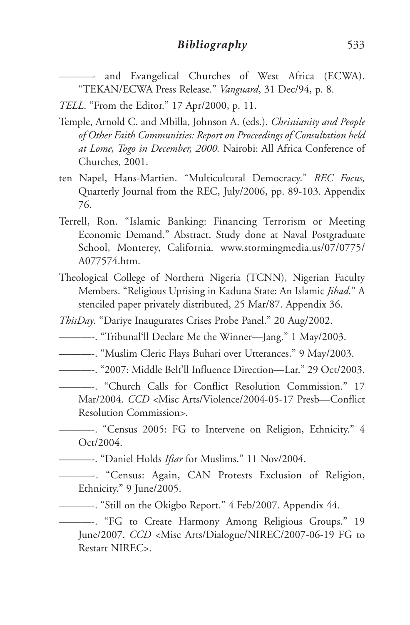———- and Evangelical Churches of West Africa (ECWA). "TEKAN/ECWA Press Release." *Vanguard*, 31 Dec/94, p. 8.

*TELL*. "From the Editor." 17 Apr/2000, p. 11.

- Temple, Arnold C. and Mbilla, Johnson A. (eds.). *Christianity and People of Other Faith Communities: Report on Proceedings of Consultation held at Lome, Togo in December, 2000.* Nairobi: All Africa Conference of Churches, 2001.
- ten Napel, Hans-Martien. "Multicultural Democracy." *REC Focus,* Quarterly Journal from the REC, July/2006, pp. 89-103. Appendix 76.
- Terrell, Ron. "Islamic Banking: Financing Terrorism or Meeting Economic Demand." Abstract. Study done at Naval Postgraduate School, Monterey, California. www.stormingmedia.us/07/0775/ A077574.htm.
- Theological College of Northern Nigeria (TCNN), Nigerian Faculty Members. "Religious Uprising in Kaduna State: An Islamic *Jihad.*" A stenciled paper privately distributed, 25 Mar/87. Appendix 36.

*ThisDay*. "Dariye Inaugurates Crises Probe Panel." 20 Aug/2002.

- ———-. "Tribunal'll Declare Me the Winner—Jang." 1 May/2003.
- ———-. "Muslim Cleric Flays Buhari over Utterances." 9 May/2003.
- ———-. "2007: Middle Belt'll Influence Direction—Lar." 29 Oct/2003.

———-. "Church Calls for Conflict Resolution Commission." 17 Mar/2004. *CCD* <Misc Arts/Violence/2004-05-17 Presb—Conflict Resolution Commission>.

———-. "Census 2005: FG to Intervene on Religion, Ethnicity." 4 Oct/2004.

———-. "Daniel Holds *Iftar* for Muslims." 11 Nov/2004.

———-. "Census: Again, CAN Protests Exclusion of Religion, Ethnicity." 9 June/2005.

———-. "Still on the Okigbo Report." 4 Feb/2007. Appendix 44.

———-. "FG to Create Harmony Among Religious Groups." 19 June/2007. *CCD* <Misc Arts/Dialogue/NIREC/2007-06-19 FG to Restart NIREC>.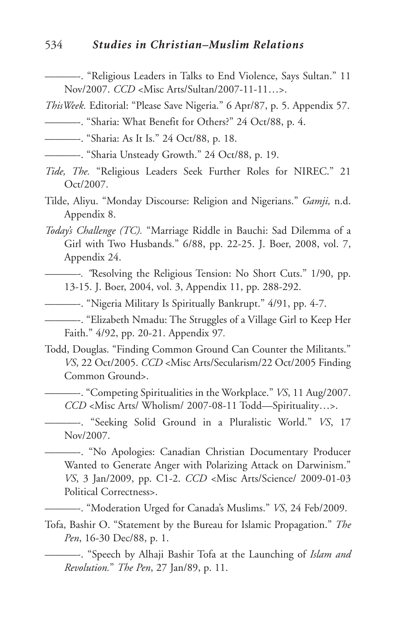#### 534 *Studies in Christian–Muslim Relations*

———-. "Religious Leaders in Talks to End Violence, Says Sultan." 11 Nov/2007. *CCD* <Misc Arts/Sultan/2007-11-11…>.

- *ThisWeek.* Editorial: "Please Save Nigeria." 6 Apr/87, p. 5. Appendix 57.
- ———-. "Sharia: What Benefit for Others?" 24 Oct/88, p. 4.
- - - - "Sharia: As It Is." 24 Oct/88, p. 18.
- ———-. "Sharia Unsteady Growth." 24 Oct/88, p. 19.
- *Tide, The.* "Religious Leaders Seek Further Roles for NIREC." 21 Oct/2007.
- Tilde, Aliyu. "Monday Discourse: Religion and Nigerians." *Gamji,* n.d. Appendix 8.
- *Today's Challenge (TC).* "Marriage Riddle in Bauchi: Sad Dilemma of a Girl with Two Husbands." 6/88, pp. 22-25. J. Boer, 2008, vol. 7, Appendix 24.
	- *———-. "*Resolving the Religious Tension: No Short Cuts." 1/90, pp. 13-15. J. Boer, 2004, vol. 3, Appendix 11, pp. 288-292.
- ———-. "Nigeria Military Is Spiritually Bankrupt." 4/91, pp. 4-7.

———-. "Elizabeth Nmadu: The Struggles of a Village Girl to Keep Her Faith." 4/92, pp. 20-21. Appendix 97*.*

- Todd, Douglas. "Finding Common Ground Can Counter the Militants." *VS*, 22 Oct/2005. *CCD* <Misc Arts/Secularism/22 Oct/2005 Finding Common Ground>.
	- ———-. "Competing Spiritualities in the Workplace." *VS*, 11 Aug/2007. *CCD* <Misc Arts/ Wholism/ 2007-08-11 Todd—Spirituality…>.

———-. "Seeking Solid Ground in a Pluralistic World." *VS*, 17 Nov/2007.

———-. "No Apologies: Canadian Christian Documentary Producer Wanted to Generate Anger with Polarizing Attack on Darwinism." *VS*, 3 Jan/2009, pp. C1-2. *CCD* <Misc Arts/Science/ 2009-01-03 Political Correctness>.

———-. "Moderation Urged for Canada's Muslims." *VS*, 24 Feb/2009.

Tofa, Bashir O. "Statement by the Bureau for Islamic Propagation." *The Pen*, 16-30 Dec/88, p. 1.

———-. "Speech by Alhaji Bashir Tofa at the Launching of *Islam and Revolution.*" *The Pen*, 27 Jan/89, p. 11.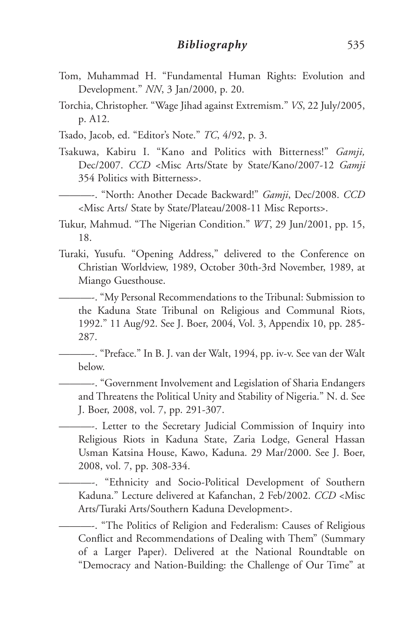- Tom, Muhammad H. "Fundamental Human Rights: Evolution and Development." *NN*, 3 Jan/2000, p. 20.
- Torchia, Christopher. "Wage Jihad against Extremism." *VS*, 22 July/2005, p. A12.
- Tsado, Jacob, ed. "Editor's Note." *TC*, 4/92, p. 3.
- Tsakuwa, Kabiru I. "Kano and Politics with Bitterness!" *Gamji,* Dec/2007. *CCD* <Misc Arts/State by State/Kano/2007-12 *Gamji* 354 Politics with Bitterness>.

———-. "North: Another Decade Backward!" *Gamji*, Dec/2008. *CCD* <Misc Arts/ State by State/Plateau/2008-11 Misc Reports>.

Tukur, Mahmud. "The Nigerian Condition." *WT*, 29 Jun/2001, pp. 15, 18.

Turaki, Yusufu. "Opening Address," delivered to the Conference on Christian Worldview, 1989, October 30th-3rd November, 1989, at Miango Guesthouse.

———-. "My Personal Recommendations to the Tribunal: Submission to the Kaduna State Tribunal on Religious and Communal Riots, 1992." 11 Aug/92. See J. Boer, 2004, Vol. 3, Appendix 10, pp. 285- 287.

———-. "Preface." In B. J. van der Walt, 1994, pp. iv-v. See van der Walt below.

———-. "Government Involvement and Legislation of Sharia Endangers and Threatens the Political Unity and Stability of Nigeria." N. d. See J. Boer, 2008, vol. 7, pp. 291-307.

———-. Letter to the Secretary Judicial Commission of Inquiry into Religious Riots in Kaduna State, Zaria Lodge, General Hassan Usman Katsina House, Kawo, Kaduna. 29 Mar/2000. See J. Boer, 2008, vol. 7, pp. 308-334.

———-. "Ethnicity and Socio-Political Development of Southern Kaduna." Lecture delivered at Kafanchan, 2 Feb/2002. *CCD* <Misc Arts/Turaki Arts/Southern Kaduna Development>.

———-. "The Politics of Religion and Federalism: Causes of Religious Conflict and Recommendations of Dealing with Them" (Summary of a Larger Paper). Delivered at the National Roundtable on "Democracy and Nation-Building: the Challenge of Our Time" at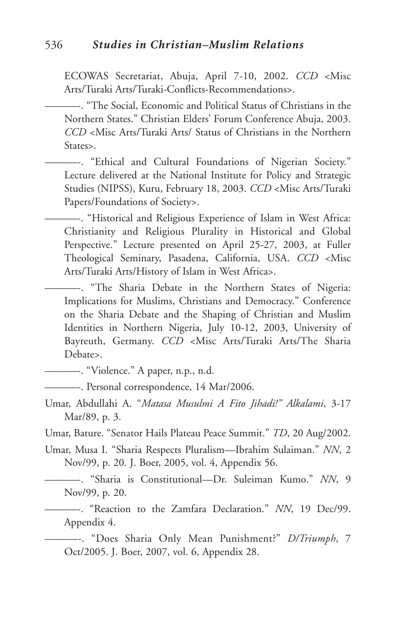ECOWAS Secretariat, Abuja, April 7-10, 2002. *CCD* <Misc Arts/Turaki Arts/Turaki-Conflicts-Recommendations>.

———-. "The Social, Economic and Political Status of Christians in the Northern States." Christian Elders' Forum Conference Abuja, 2003. *CCD* <Misc Arts/Turaki Arts/ Status of Christians in the Northern States>.

———-. "Ethical and Cultural Foundations of Nigerian Society." Lecture delivered at the National Institute for Policy and Strategic Studies (NIPSS), Kuru, February 18, 2003. *CCD* <Misc Arts/Turaki Papers/Foundations of Society>.

———-. "Historical and Religious Experience of Islam in West Africa: Christianity and Religious Plurality in Historical and Global Perspective." Lecture presented on April 25-27, 2003, at Fuller Theological Seminary, Pasadena, California, USA. *CCD* <Misc Arts/Turaki Arts/History of Islam in West Africa>.

———-. "The Sharia Debate in the Northern States of Nigeria: Implications for Muslims, Christians and Democracy." Conference on the Sharia Debate and the Shaping of Christian and Muslim Identities in Northern Nigeria, July 10-12, 2003, University of Bayreuth, Germany. *CCD* <Misc Arts/Turaki Arts/The Sharia Debate>.

———-. "Violence." A paper, n.p., n.d.

- ———-. Personal correspondence, 14 Mar/2006.
- Umar, Abdullahi A. "*Matasa Musulmi A Fito Jihadi!" Alkalami*, 3-17 Mar/89, p. 3.

Umar, Bature. "Senator Hails Plateau Peace Summit." *TD*, 20 Aug/2002.

Umar, Musa I. "Sharia Respects Pluralism—Ibrahim Sulaiman." *NN*, 2 Nov/99, p. 20. J. Boer, 2005, vol. 4, Appendix 56.

———-. "Sharia is Constitutional—Dr. Suleiman Kumo." *NN*, 9 Nov/99, p. 20.

———-. "Reaction to the Zamfara Declaration." *NN*, 19 Dec/99. Appendix 4.

———-. "Does Sharia Only Mean Punishment?" *D/Triumph*, 7 Oct/2005. J. Boer, 2007, vol. 6, Appendix 28.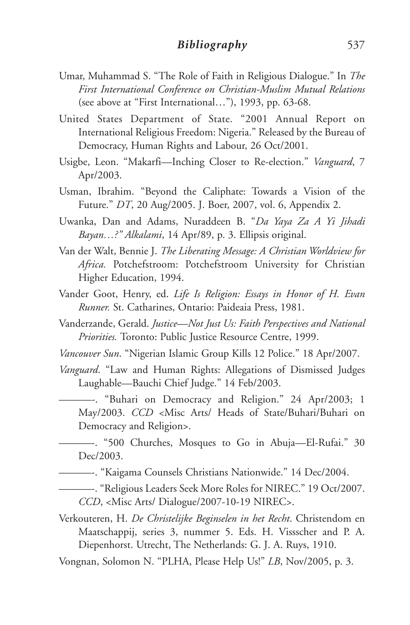- Umar, Muhammad S. "The Role of Faith in Religious Dialogue." In *The First International Conference on Christian-Muslim Mutual Relations* (see above at "First International…"), 1993, pp. 63-68.
- United States Department of State. "2001 Annual Report on International Religious Freedom: Nigeria." Released by the Bureau of Democracy, Human Rights and Labour, 26 Oct/2001.
- Usigbe, Leon. "Makarfi—Inching Closer to Re-election." *Vanguard*, 7 Apr/2003.
- Usman, Ibrahim. "Beyond the Caliphate: Towards a Vision of the Future." *DT*, 20 Aug/2005. J. Boer, 2007, vol. 6, Appendix 2.
- Uwanka, Dan and Adams, Nuraddeen B. "*Da Yaya Za A Yi Jihadi Bayan…?" Alkalami*, 14 Apr/89, p. 3. Ellipsis original.
- Van der Walt, Bennie J. *The Liberating Message: A Christian Worldview for Africa.* Potchefstroom: Potchefstroom University for Christian Higher Education, 1994.
- Vander Goot, Henry, ed. *Life Is Religion: Essays in Honor of H. Evan Runner.* St. Catharines, Ontario: Paideaia Press, 1981.
- Vanderzande, Gerald. *Justice—Not Just Us: Faith Perspectives and National Priorities.* Toronto: Public Justice Resource Centre, 1999.
- *Vancouver Sun*. "Nigerian Islamic Group Kills 12 Police." 18 Apr/2007.
- *Vanguard*. "Law and Human Rights: Allegations of Dismissed Judges Laughable—Bauchi Chief Judge." 14 Feb/2003.

———-. "Buhari on Democracy and Religion." 24 Apr/2003; 1 May/2003. *CCD* <Misc Arts/ Heads of State/Buhari/Buhari on Democracy and Religion>.

———-. "500 Churches, Mosques to Go in Abuja—El-Rufai." 30 Dec/2003.

———-. "Kaigama Counsels Christians Nationwide." 14 Dec/2004.

———-. "Religious Leaders Seek More Roles for NIREC." 19 Oct/2007. *CCD*, <Misc Arts/ Dialogue/2007-10-19 NIREC>.

Verkouteren, H. *De Christelijke Beginselen in het Recht*. Christendom en Maatschappij, series 3, nummer 5. Eds. H. Vissscher and P. A. Diepenhorst. Utrecht, The Netherlands: G. J. A. Ruys, 1910.

Vongnan, Solomon N. "PLHA, Please Help Us!" *LB*, Nov/2005, p. 3.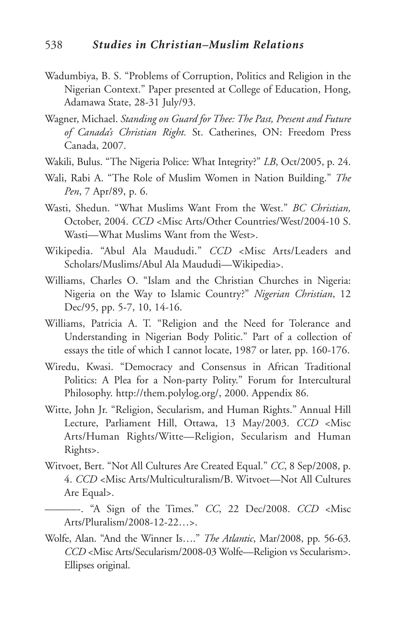- Wadumbiya, B. S. "Problems of Corruption, Politics and Religion in the Nigerian Context." Paper presented at College of Education, Hong, Adamawa State, 28-31 July/93.
- Wagner, Michael. *Standing on Guard for Thee: The Past, Present and Future of Canada's Christian Right.* St. Catherines, ON: Freedom Press Canada, 2007.
- Wakili, Bulus. "The Nigeria Police: What Integrity?" *LB*, Oct/2005, p. 24.
- Wali, Rabi A. "The Role of Muslim Women in Nation Building." *The Pen*, 7 Apr/89, p. 6.
- Wasti, Shedun. "What Muslims Want From the West." *BC Christian,* October, 2004. *CCD* <Misc Arts/Other Countries/West/2004-10 S. Wasti—What Muslims Want from the West>.
- Wikipedia. "Abul Ala Maududi." *CCD* <Misc Arts/Leaders and Scholars/Muslims/Abul Ala Maududi—Wikipedia>.
- Williams, Charles O. "Islam and the Christian Churches in Nigeria: Nigeria on the Way to Islamic Country?" *Nigerian Christian*, 12 Dec/95, pp. 5-7, 10, 14-16.
- Williams, Patricia A. T. "Religion and the Need for Tolerance and Understanding in Nigerian Body Politic." Part of a collection of essays the title of which I cannot locate, 1987 or later, pp. 160-176.
- Wiredu, Kwasi. "Democracy and Consensus in African Traditional Politics: A Plea for a Non-party Polity." Forum for Intercultural Philosophy. http://them.polylog.org/, 2000. Appendix 86.
- Witte, John Jr. "Religion, Secularism, and Human Rights." Annual Hill Lecture, Parliament Hill, Ottawa, 13 May/2003. *CCD* <Misc Arts/Human Rights/Witte—Religion, Secularism and Human Rights>.
- Witvoet, Bert. "Not All Cultures Are Created Equal." *CC*, 8 Sep/2008, p. 4. *CCD* <Misc Arts/Multiculturalism/B. Witvoet—Not All Cultures Are Equal>.
- ———-. "A Sign of the Times." *CC*, 22 Dec/2008. *CCD* <Misc Arts/Pluralism/2008-12-22…>.
- Wolfe, Alan. "And the Winner Is…." *The Atlantic*, Mar/2008, pp. 56-63. *CCD* <Misc Arts/Secularism/2008-03 Wolfe—Religion vs Secularism>. Ellipses original.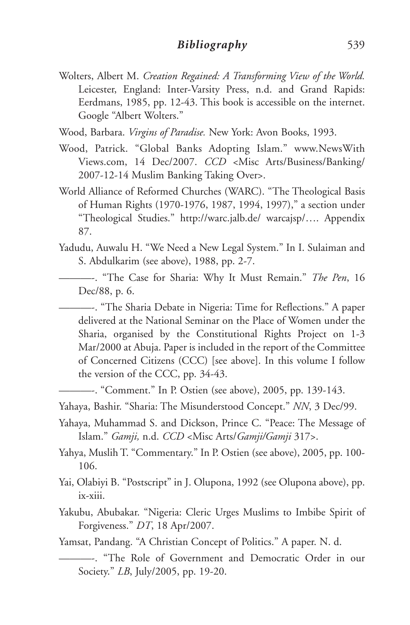- Wolters, Albert M. *Creation Regained: A Transforming View of the World.* Leicester, England: Inter-Varsity Press, n.d. and Grand Rapids: Eerdmans, 1985, pp. 12-43. This book is accessible on the internet. Google "Albert Wolters."
- Wood, Barbara. *Virgins of Paradise.* New York: Avon Books, 1993.
- Wood, Patrick. "Global Banks Adopting Islam." www.NewsWith Views.com, 14 Dec/2007. *CCD* <Misc Arts/Business/Banking/ 2007-12-14 Muslim Banking Taking Over>.
- World Alliance of Reformed Churches (WARC). "The Theological Basis of Human Rights (1970-1976, 1987, 1994, 1997)," a section under "Theological Studies." http://warc.jalb.de/ warcajsp/…. Appendix 87.
- Yadudu, Auwalu H. "We Need a New Legal System." In I. Sulaiman and S. Abdulkarim (see above), 1988, pp. 2-7.
- ———-. "The Case for Sharia: Why It Must Remain." *The Pen*, 16 Dec/88, p. 6.
	- ———-. "The Sharia Debate in Nigeria: Time for Reflections." A paper delivered at the National Seminar on the Place of Women under the Sharia, organised by the Constitutional Rights Project on 1-3 Mar/2000 at Abuja. Paper is included in the report of the Committee of Concerned Citizens (CCC) [see above]. In this volume I follow the version of the CCC, pp. 34-43.
- ———-. "Comment." In P. Ostien (see above), 2005, pp. 139-143.
- Yahaya, Bashir. "Sharia: The Misunderstood Concept." *NN*, 3 Dec/99.
- Yahaya, Muhammad S. and Dickson, Prince C. "Peace: The Message of Islam." *Gamji,* n.d. *CCD* <Misc Arts/*Gamji/Gamji* 317>.
- Yahya, Muslih T. "Commentary." In P. Ostien (see above), 2005, pp. 100- 106.
- Yai, Olabiyi B. "Postscript" in J. Olupona, 1992 (see Olupona above), pp. ix-xiii.
- Yakubu, Abubakar. "Nigeria: Cleric Urges Muslims to Imbibe Spirit of Forgiveness." *DT*, 18 Apr/2007.

Yamsat, Pandang. "A Christian Concept of Politics." A paper. N. d.

<sup>———-.</sup> "The Role of Government and Democratic Order in our Society." *LB*, July/2005, pp. 19-20.